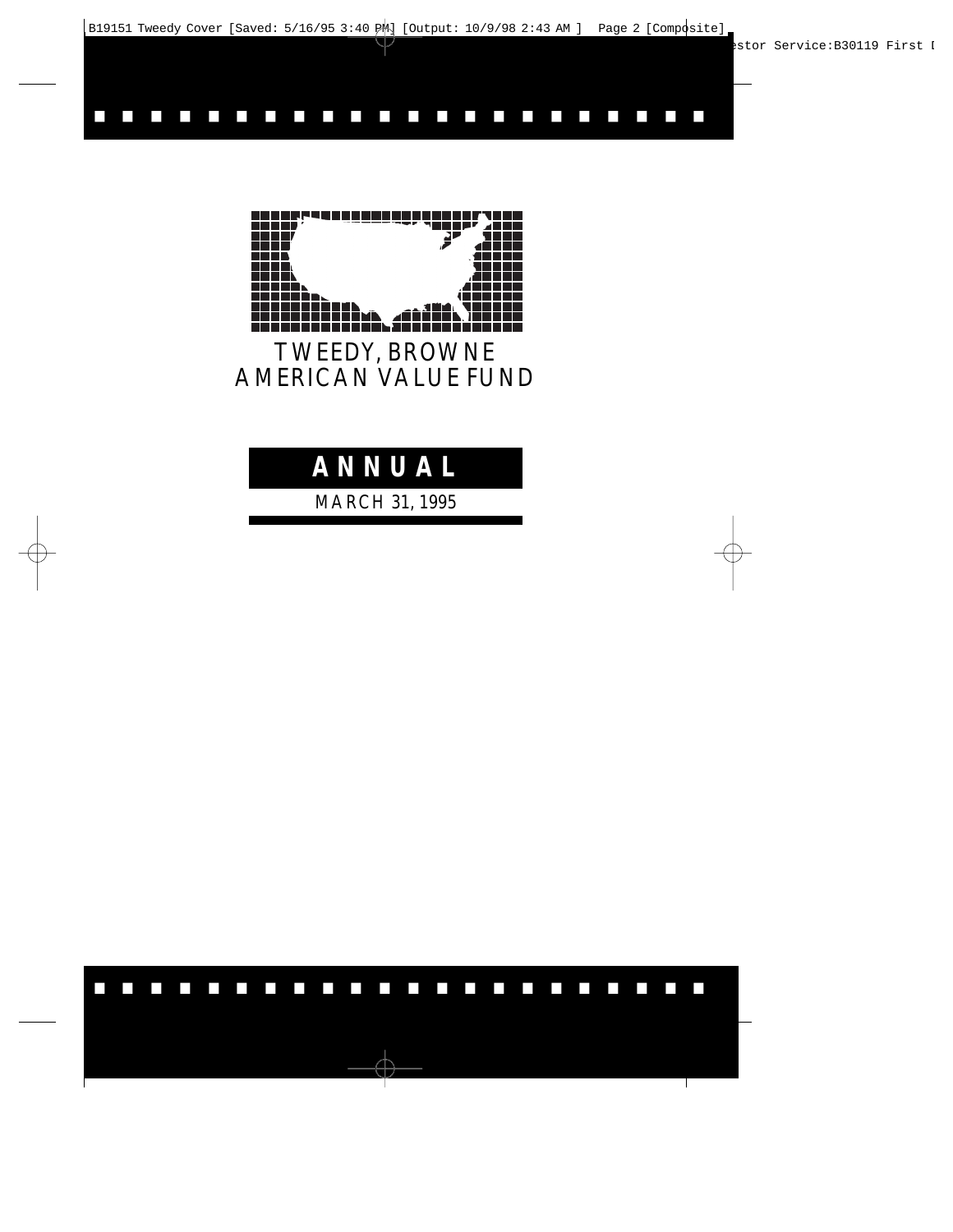

......................

TWEEDY, BROWNE AMERICAN VALUE FUND

## **ANNUAL**

MARCH 31, 1995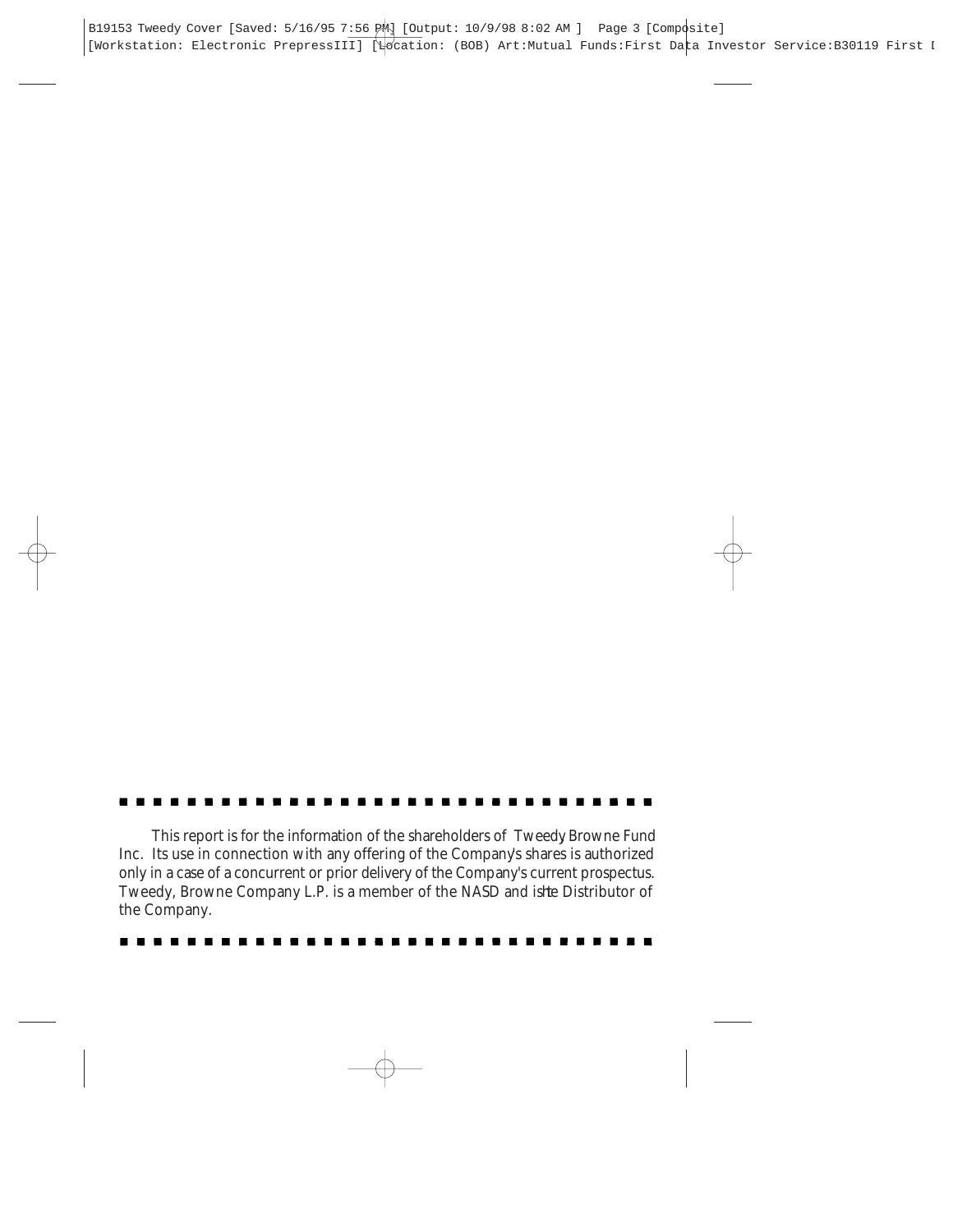This report is for the information of the shareholders of Tweedy Browne Fund Inc. Its use in connection with any offering of the Company's shares is authorized only in a case of a concurrent or prior delivery of the Company's current prospectus. Tweedy, Browne Company L.P. is a member of the NASD and is te Distributor of the Company.

| --------------------------------- |  |
|-----------------------------------|--|
|-----------------------------------|--|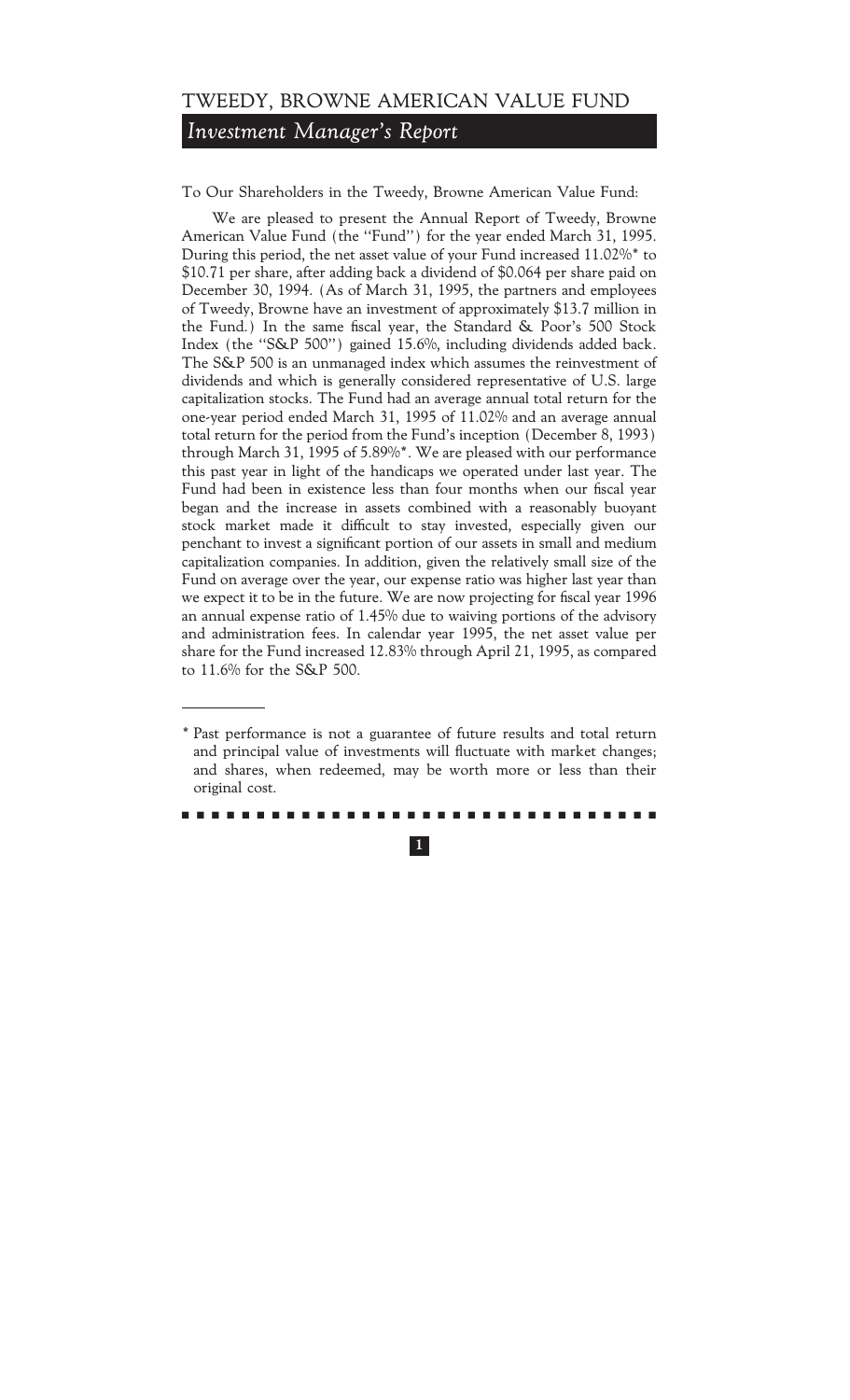*Investment Manager's Report*

To Our Shareholders in the Tweedy, Browne American Value Fund:

We are pleased to present the Annual Report of Tweedy, Browne American Value Fund (the "Fund") for the year ended March 31, 1995. During this period, the net asset value of your Fund increased 11.02%\* to \$10.71 per share, after adding back a dividend of \$0.064 per share paid on December 30, 1994. (As of March 31, 1995, the partners and employees of Tweedy, Browne have an investment of approximately \$13.7 million in the Fund.) In the same fiscal year, the Standard & Poor's 500 Stock Index (the "S&P 500") gained 15.6%, including dividends added back. The S&P 500 is an unmanaged index which assumes the reinvestment of dividends and which is generally considered representative of U.S. large capitalization stocks. The Fund had an average annual total return for the one-year period ended March 31, 1995 of 11.02% and an average annual total return for the period from the Fund's inception (December 8, 1993) through March 31, 1995 of 5.89%\*. We are pleased with our performance this past year in light of the handicaps we operated under last year. The Fund had been in existence less than four months when our fiscal year began and the increase in assets combined with a reasonably buoyant stock market made it difficult to stay invested, especially given our penchant to invest a significant portion of our assets in small and medium capitalization companies. In addition, given the relatively small size of the Fund on average over the year, our expense ratio was higher last year than we expect it to be in the future. We are now projecting for fiscal year 1996 an annual expense ratio of 1.45% due to waiving portions of the advisory and administration fees. In calendar year 1995, the net asset value per share for the Fund increased 12.83% through April 21, 1995, as compared to 11.6% for the S&P 500.

<sup>\*</sup> Past performance is not a guarantee of future results and total return and principal value of investments will fluctuate with market changes; and shares, when redeemed, may be worth more or less than their original cost.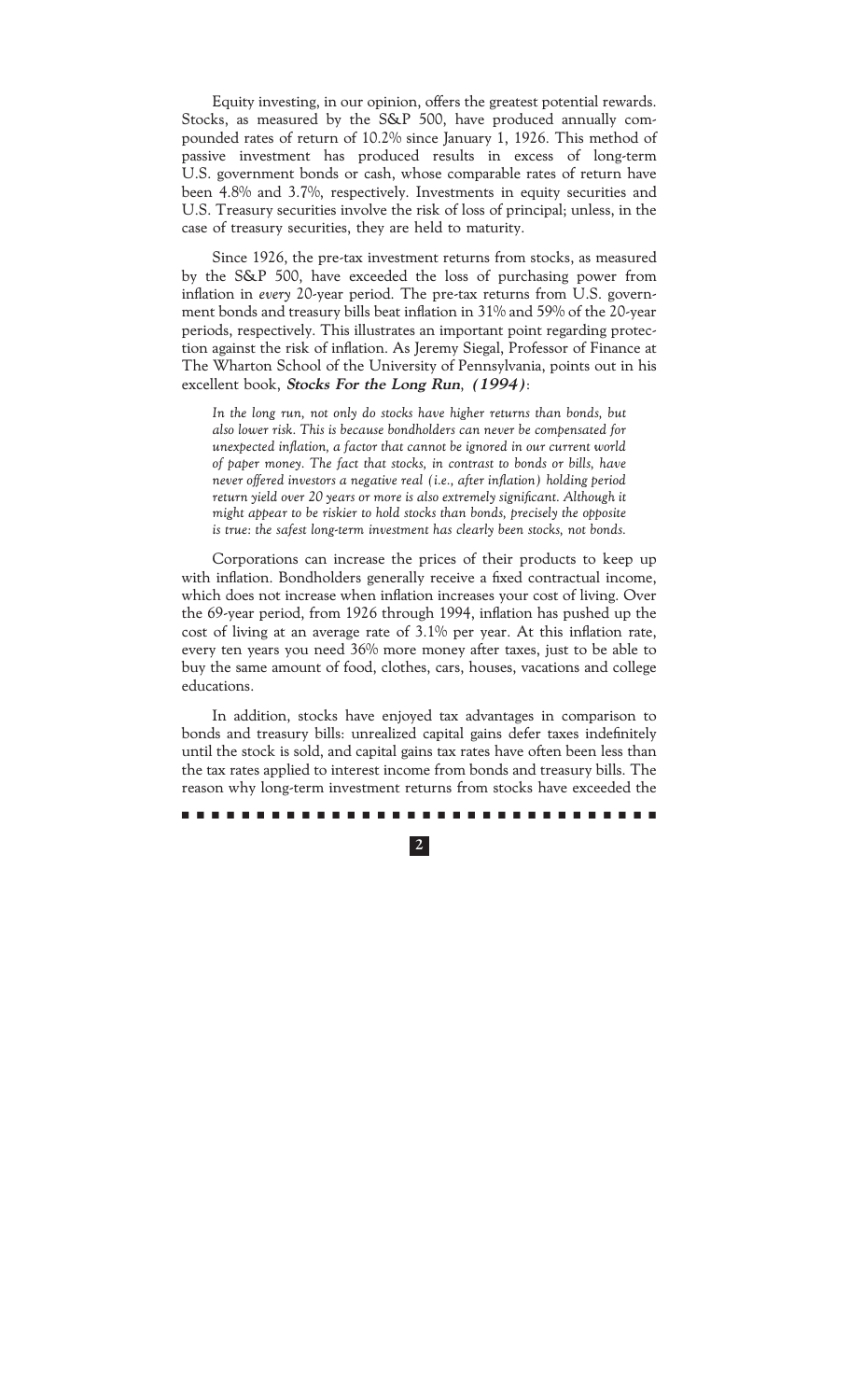Equity investing, in our opinion, offers the greatest potential rewards. Stocks, as measured by the S&P 500, have produced annually compounded rates of return of 10.2% since January 1, 1926. This method of passive investment has produced results in excess of long-term U.S. government bonds or cash, whose comparable rates of return have been 4.8% and 3.7%, respectively. Investments in equity securities and U.S. Treasury securities involve the risk of loss of principal; unless, in the case of treasury securities, they are held to maturity.

Since 1926, the pre-tax investment returns from stocks, as measured by the S&P 500, have exceeded the loss of purchasing power from inflation in *every* 20-year period. The pre-tax returns from U.S. government bonds and treasury bills beat inflation in 31% and 59% of the 20-year periods, respectively. This illustrates an important point regarding protection against the risk of inflation. As Jeremy Siegal, Professor of Finance at The Wharton School of the University of Pennsylvania, points out in his excellent book, **Stocks For the Long Run**, **(1994)**:

*In the long run, not only do stocks have higher returns than bonds, but also lower risk. This is because bondholders can never be compensated for* unexpected inflation, a factor that cannot be ignored in our current world *of paper money. The fact that stocks, in contrast to bonds or bills, have never offered investors a negative real (i.e., after inflation) holding period* return yield over 20 years or more is also extremely significant. Although it *might appear to be riskier to hold stocks than bonds, precisely the opposite is true: the safest long-term investment has clearly been stocks, not bonds.*

Corporations can increase the prices of their products to keep up with inflation. Bondholders generally receive a fixed contractual income, which does not increase when inflation increases your cost of living. Over the 69-year period, from 1926 through 1994, inflation has pushed up the cost of living at an average rate of  $3.1\%$  per year. At this inflation rate, every ten years you need 36% more money after taxes, just to be able to buy the same amount of food, clothes, cars, houses, vacations and college educations.

In addition, stocks have enjoyed tax advantages in comparison to bonds and treasury bills: unrealized capital gains defer taxes indefinitely until the stock is sold, and capital gains tax rates have often been less than the tax rates applied to interest income from bonds and treasury bills. The reason why long-term investment returns from stocks have exceeded the

### ..........................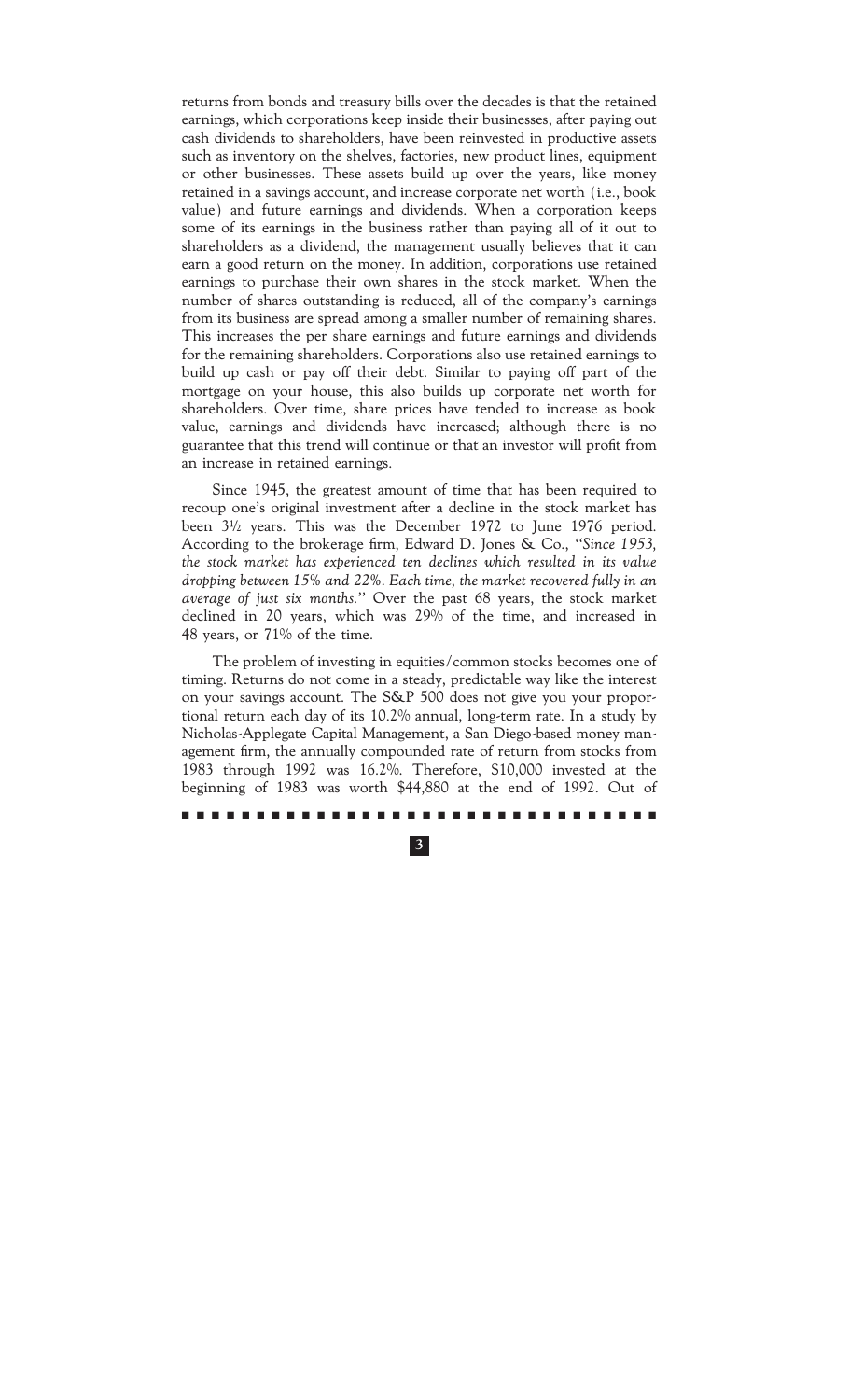returns from bonds and treasury bills over the decades is that the retained earnings, which corporations keep inside their businesses, after paying out cash dividends to shareholders, have been reinvested in productive assets such as inventory on the shelves, factories, new product lines, equipment or other businesses. These assets build up over the years, like money retained in a savings account, and increase corporate net worth (i.e., book value) and future earnings and dividends. When a corporation keeps some of its earnings in the business rather than paying all of it out to shareholders as a dividend, the management usually believes that it can earn a good return on the money. In addition, corporations use retained earnings to purchase their own shares in the stock market. When the number of shares outstanding is reduced, all of the company's earnings from its business are spread among a smaller number of remaining shares. This increases the per share earnings and future earnings and dividends for the remaining shareholders. Corporations also use retained earnings to build up cash or pay off their debt. Similar to paying off part of the mortgage on your house, this also builds up corporate net worth for shareholders. Over time, share prices have tended to increase as book value, earnings and dividends have increased; although there is no guarantee that this trend will continue or that an investor will profit from an increase in retained earnings.

Since 1945, the greatest amount of time that has been required to recoup one's original investment after a decline in the stock market has been  $3\frac{1}{2}$  years. This was the December 1972 to June 1976 period. According to the brokerage firm, Edward D. Jones & Co., "Since 1953, *the stock market has experienced ten declines which resulted in its value dropping between 15% and 22%. Each time, the market recovered fully in an average of just six months.''* Over the past 68 years, the stock market declined in 20 years, which was 29% of the time, and increased in 48 years, or 71% of the time.

The problem of investing in equities/common stocks becomes one of timing. Returns do not come in a steady, predictable way like the interest on your savings account. The S&P 500 does not give you your proportional return each day of its 10.2% annual, long-term rate. In a study by Nicholas-Applegate Capital Management, a San Diego-based money management firm, the annually compounded rate of return from stocks from 1983 through 1992 was 16.2%. Therefore, \$10,000 invested at the beginning of 1983 was worth \$44,880 at the end of 1992. Out of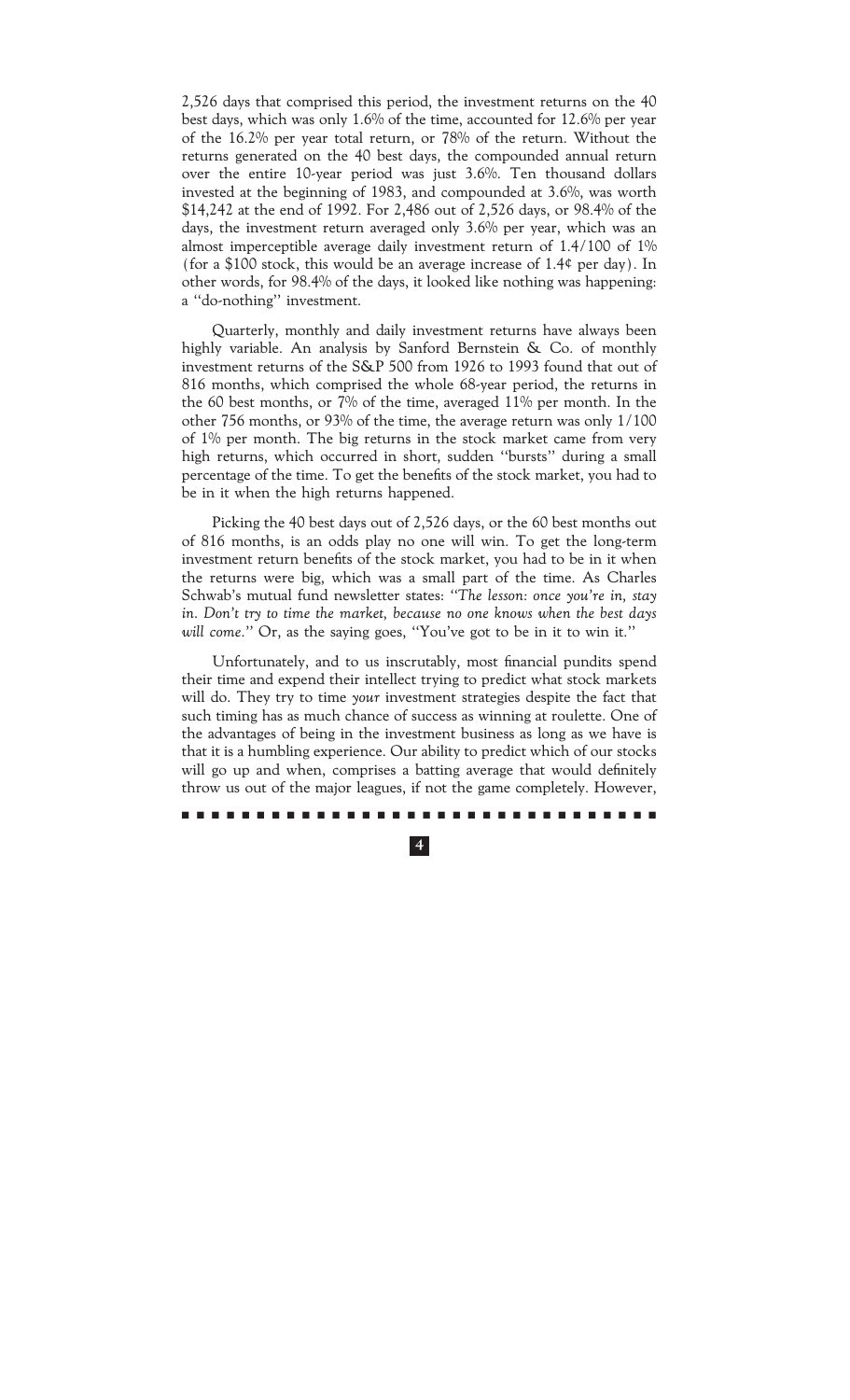2,526 days that comprised this period, the investment returns on the 40 best days, which was only 1.6% of the time, accounted for 12.6% per year of the 16.2% per year total return, or 78% of the return. Without the returns generated on the 40 best days, the compounded annual return over the entire 10-year period was just 3.6%. Ten thousand dollars invested at the beginning of 1983, and compounded at 3.6%, was worth \$14,242 at the end of 1992. For 2,486 out of 2,526 days, or 98.4% of the days, the investment return averaged only 3.6% per year, which was an almost imperceptible average daily investment return of 1.4/100 of 1% (for a \$100 stock, this would be an average increase of  $1.4$  per day). In other words, for 98.4% of the days, it looked like nothing was happening: a "do-nothing" investment.

Quarterly, monthly and daily investment returns have always been highly variable. An analysis by Sanford Bernstein & Co. of monthly investment returns of the S&P 500 from 1926 to 1993 found that out of 816 months, which comprised the whole 68-year period, the returns in the 60 best months, or 7% of the time, averaged 11% per month. In the other 756 months, or 93% of the time, the average return was only 1/100 of 1% per month. The big returns in the stock market came from very high returns, which occurred in short, sudden ""bursts'' during a small percentage of the time. To get the benefits of the stock market, you had to be in it when the high returns happened.

Picking the 40 best days out of 2,526 days, or the 60 best months out of 816 months, is an odds play no one will win. To get the long-term investment return benefits of the stock market, you had to be in it when the returns were big, which was a small part of the time. As Charles Schwab's mutual fund newsletter states: *""The lesson: once you're in, stay in. Don't try to time the market, because no one knows when the best days* will come." Or, as the saying goes, "You've got to be in it to win it."

Unfortunately, and to us inscrutably, most financial pundits spend their time and expend their intellect trying to predict what stock markets will do. They try to time *your* investment strategies despite the fact that such timing has as much chance of success as winning at roulette. One of the advantages of being in the investment business as long as we have is that it is a humbling experience. Our ability to predict which of our stocks will go up and when, comprises a batting average that would definitely throw us out of the major leagues, if not the game completely. However,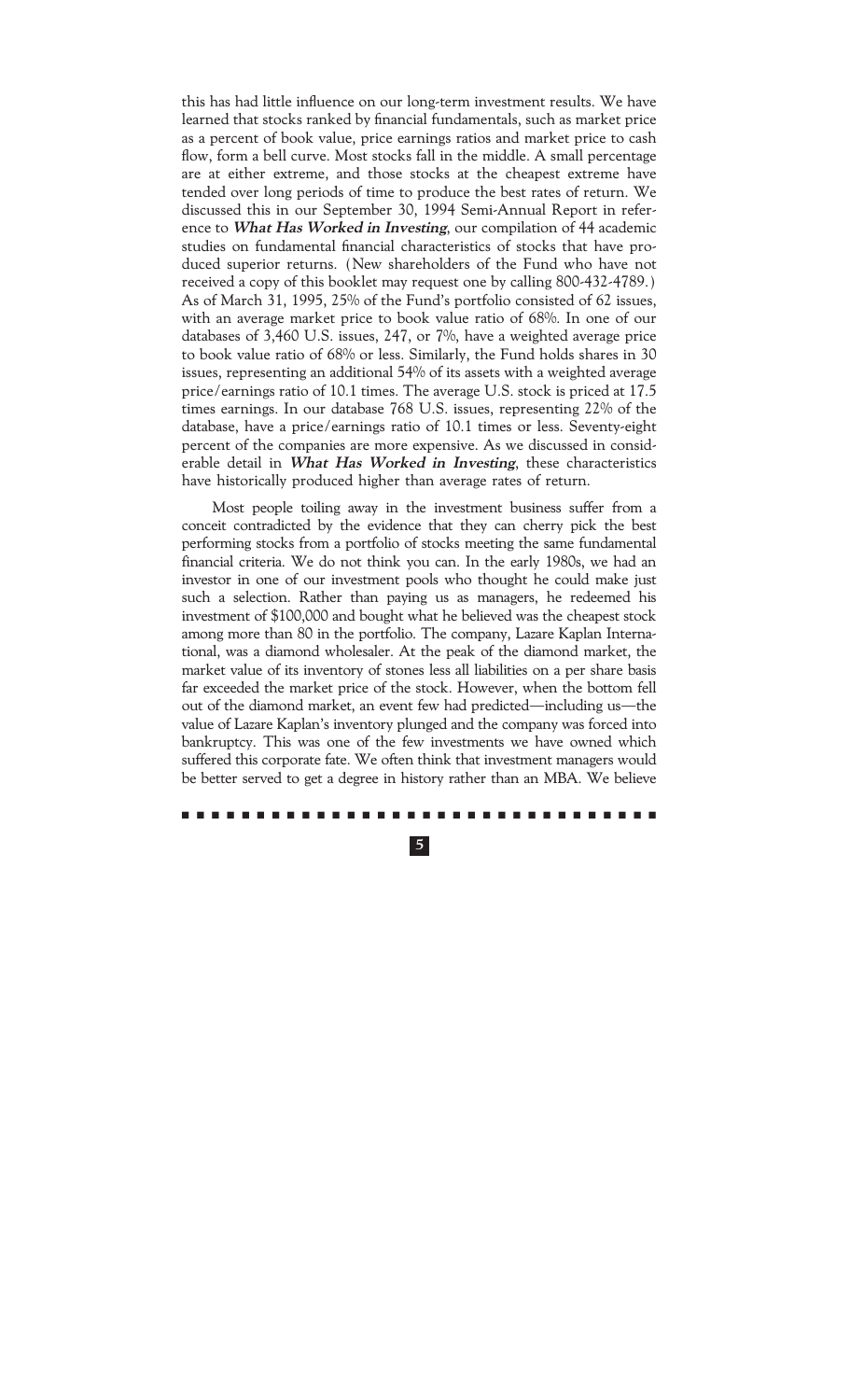this has had little influence on our long-term investment results. We have learned that stocks ranked by financial fundamentals, such as market price as a percent of book value, price earnings ratios and market price to cash flow, form a bell curve. Most stocks fall in the middle. A small percentage are at either extreme, and those stocks at the cheapest extreme have tended over long periods of time to produce the best rates of return. We discussed this in our September 30, 1994 Semi-Annual Report in reference to **What Has Worked in Investing**, our compilation of 44 academic studies on fundamental financial characteristics of stocks that have produced superior returns. (New shareholders of the Fund who have not received a copy of this booklet may request one by calling 800-432-4789.) As of March 31, 1995, 25% of the Fund's portfolio consisted of 62 issues, with an average market price to book value ratio of 68%. In one of our databases of 3,460 U.S. issues, 247, or 7%, have a weighted average price to book value ratio of 68% or less. Similarly, the Fund holds shares in 30 issues, representing an additional 54% of its assets with a weighted average price/earnings ratio of 10.1 times. The average U.S. stock is priced at 17.5 times earnings. In our database 768 U.S. issues, representing 22% of the database, have a price/earnings ratio of 10.1 times or less. Seventy-eight percent of the companies are more expensive. As we discussed in considerable detail in **What Has Worked in Investing**, these characteristics have historically produced higher than average rates of return.

Most people toiling away in the investment business suffer from a conceit contradicted by the evidence that they can cherry pick the best performing stocks from a portfolio of stocks meeting the same fundamental financial criteria. We do not think you can. In the early 1980s, we had an investor in one of our investment pools who thought he could make just such a selection. Rather than paying us as managers, he redeemed his investment of \$100,000 and bought what he believed was the cheapest stock among more than 80 in the portfolio. The company, Lazare Kaplan International, was a diamond wholesaler. At the peak of the diamond market, the market value of its inventory of stones less all liabilities on a per share basis far exceeded the market price of the stock. However, when the bottom fell out of the diamond market, an event few had predicted—including us—the value of Lazare Kaplan's inventory plunged and the company was forced into bankruptcy. This was one of the few investments we have owned which suffered this corporate fate. We often think that investment managers would be better served to get a degree in history rather than an MBA. We believe

#### ..........................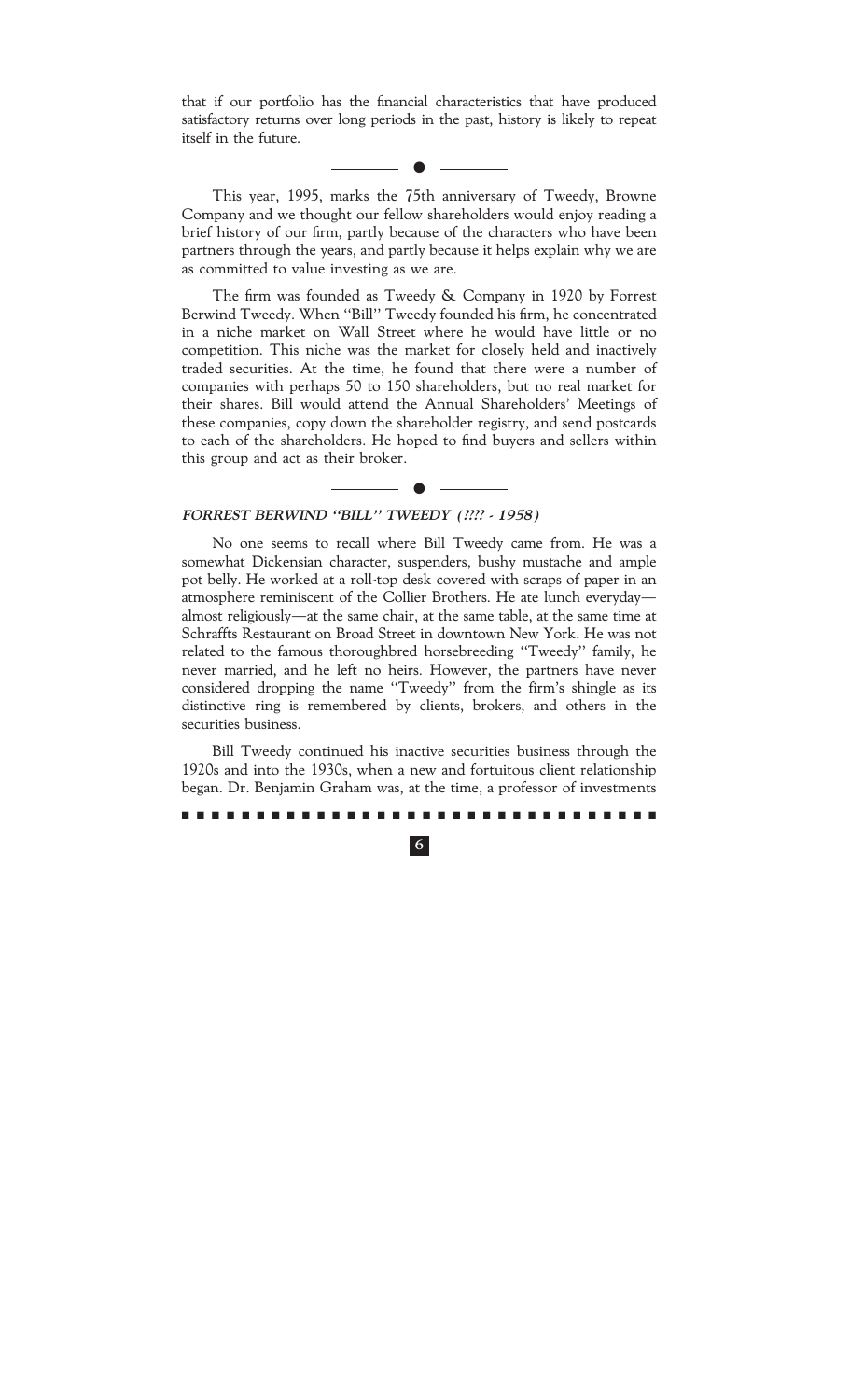that if our portfolio has the financial characteristics that have produced satisfactory returns over long periods in the past, history is likely to repeat itself in the future.

 $\bullet$ 

This year, 1995, marks the 75th anniversary of Tweedy, Browne Company and we thought our fellow shareholders would enjoy reading a brief history of our firm, partly because of the characters who have been partners through the years, and partly because it helps explain why we are as committed to value investing as we are.

The firm was founded as Tweedy & Company in 1920 by Forrest Berwind Tweedy. When "Bill" Tweedy founded his firm, he concentrated in a niche market on Wall Street where he would have little or no competition. This niche was the market for closely held and inactively traded securities. At the time, he found that there were a number of companies with perhaps 50 to 150 shareholders, but no real market for their shares. Bill would attend the Annual Shareholders' Meetings of these companies, copy down the shareholder registry, and send postcards to each of the shareholders. He hoped to find buyers and sellers within this group and act as their broker.

 $\bullet$ 

### FORREST BERWIND "BILL" TWEEDY (???? - 1958)

No one seems to recall where Bill Tweedy came from. He was a somewhat Dickensian character, suspenders, bushy mustache and ample pot belly. He worked at a roll-top desk covered with scraps of paper in an atmosphere reminiscent of the Collier Brothers. He ate lunch everyday almost religiously—at the same chair, at the same table, at the same time at Schraffts Restaurant on Broad Street in downtown New York. He was not related to the famous thoroughbred horsebreeding ""Tweedy'' family, he never married, and he left no heirs. However, the partners have never considered dropping the name ""Tweedy'' from the firm's shingle as its distinctive ring is remembered by clients, brokers, and others in the securities business.

Bill Tweedy continued his inactive securities business through the 1920s and into the 1930s, when a new and fortuitous client relationship began. Dr. Benjamin Graham was, at the time, a professor of investments

mmmmmmmmmmmmmmmmmmmmmmmmmmmmmmmm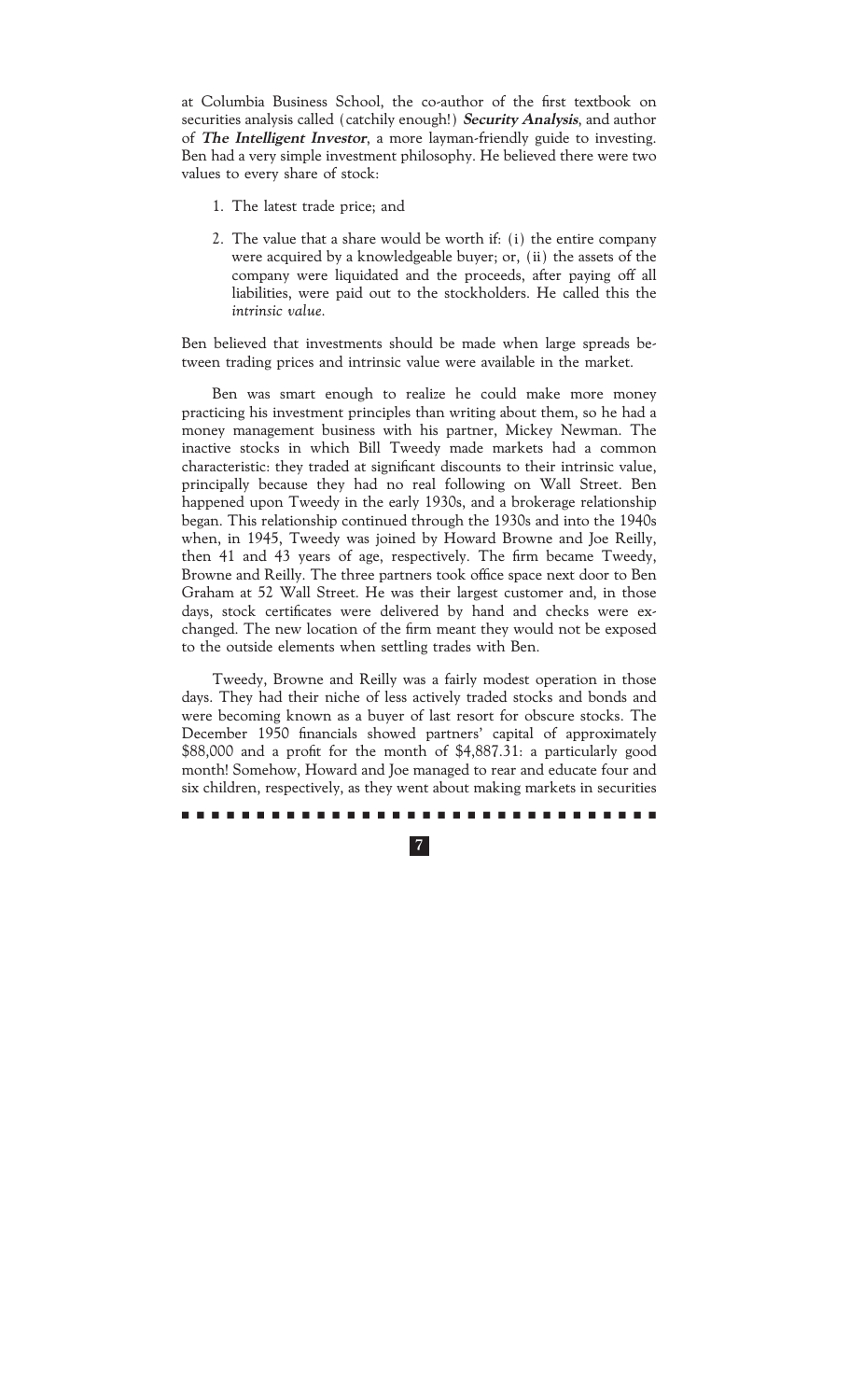at Columbia Business School, the co-author of the first textbook on securities analysis called (catchily enough!) **Security Analysis**, and author of **The Intelligent Investor**, a more layman-friendly guide to investing. Ben had a very simple investment philosophy. He believed there were two values to every share of stock:

- 1. The latest trade price; and
- 2. The value that a share would be worth if: (i) the entire company were acquired by a knowledgeable buyer; or, (ii) the assets of the company were liquidated and the proceeds, after paying off all liabilities, were paid out to the stockholders. He called this the *intrinsic value.*

Ben believed that investments should be made when large spreads between trading prices and intrinsic value were available in the market.

Ben was smart enough to realize he could make more money practicing his investment principles than writing about them, so he had a money management business with his partner, Mickey Newman. The inactive stocks in which Bill Tweedy made markets had a common characteristic: they traded at significant discounts to their intrinsic value, principally because they had no real following on Wall Street. Ben happened upon Tweedy in the early 1930s, and a brokerage relationship began. This relationship continued through the 1930s and into the 1940s when, in 1945, Tweedy was joined by Howard Browne and Joe Reilly, then 41 and 43 years of age, respectively. The firm became Tweedy, Browne and Reilly. The three partners took office space next door to Ben Graham at 52 Wall Street. He was their largest customer and, in those days, stock certificates were delivered by hand and checks were exchanged. The new location of the firm meant they would not be exposed to the outside elements when settling trades with Ben.

Tweedy, Browne and Reilly was a fairly modest operation in those days. They had their niche of less actively traded stocks and bonds and were becoming known as a buyer of last resort for obscure stocks. The December 1950 financials showed partners' capital of approximately \$88,000 and a profit for the month of \$4,887.31: a particularly good month! Somehow, Howard and Joe managed to rear and educate four and six children, respectively, as they went about making markets in securities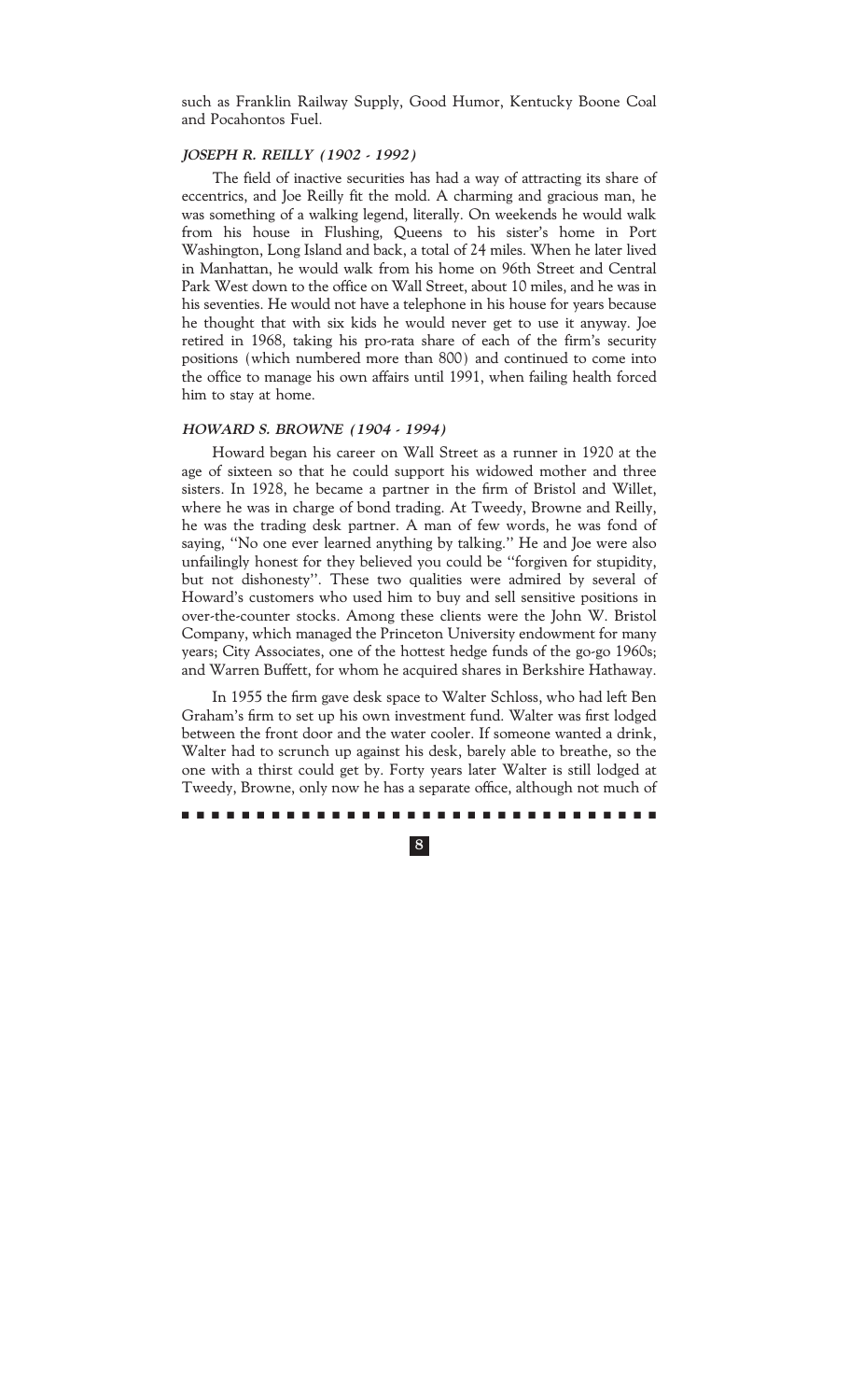such as Franklin Railway Supply, Good Humor, Kentucky Boone Coal and Pocahontos Fuel.

### **JOSEPH R. REILLY (1902 - 1992)**

The field of inactive securities has had a way of attracting its share of eccentrics, and Joe Reilly fit the mold. A charming and gracious man, he was something of a walking legend, literally. On weekends he would walk from his house in Flushing, Queens to his sister's home in Port Washington, Long Island and back, a total of 24 miles. When he later lived in Manhattan, he would walk from his home on 96th Street and Central Park West down to the office on Wall Street, about 10 miles, and he was in his seventies. He would not have a telephone in his house for years because he thought that with six kids he would never get to use it anyway. Joe retired in 1968, taking his pro-rata share of each of the firm's security positions (which numbered more than 800) and continued to come into the office to manage his own affairs until 1991, when failing health forced him to stay at home.

### **HOWARD S. BROWNE (1904 - 1994)**

Howard began his career on Wall Street as a runner in 1920 at the age of sixteen so that he could support his widowed mother and three sisters. In 1928, he became a partner in the firm of Bristol and Willet, where he was in charge of bond trading. At Tweedy, Browne and Reilly, he was the trading desk partner. A man of few words, he was fond of saying, "No one ever learned anything by talking." He and Joe were also unfailingly honest for they believed you could be ""forgiven for stupidity, but not dishonesty''. These two qualities were admired by several of Howard's customers who used him to buy and sell sensitive positions in over-the-counter stocks. Among these clients were the John W. Bristol Company, which managed the Princeton University endowment for many years; City Associates, one of the hottest hedge funds of the go-go 1960s; and Warren Buffett, for whom he acquired shares in Berkshire Hathaway.

In 1955 the firm gave desk space to Walter Schloss, who had left Ben Graham's firm to set up his own investment fund. Walter was first lodged between the front door and the water cooler. If someone wanted a drink, Walter had to scrunch up against his desk, barely able to breathe, so the one with a thirst could get by. Forty years later Walter is still lodged at Tweedy, Browne, only now he has a separate office, although not much of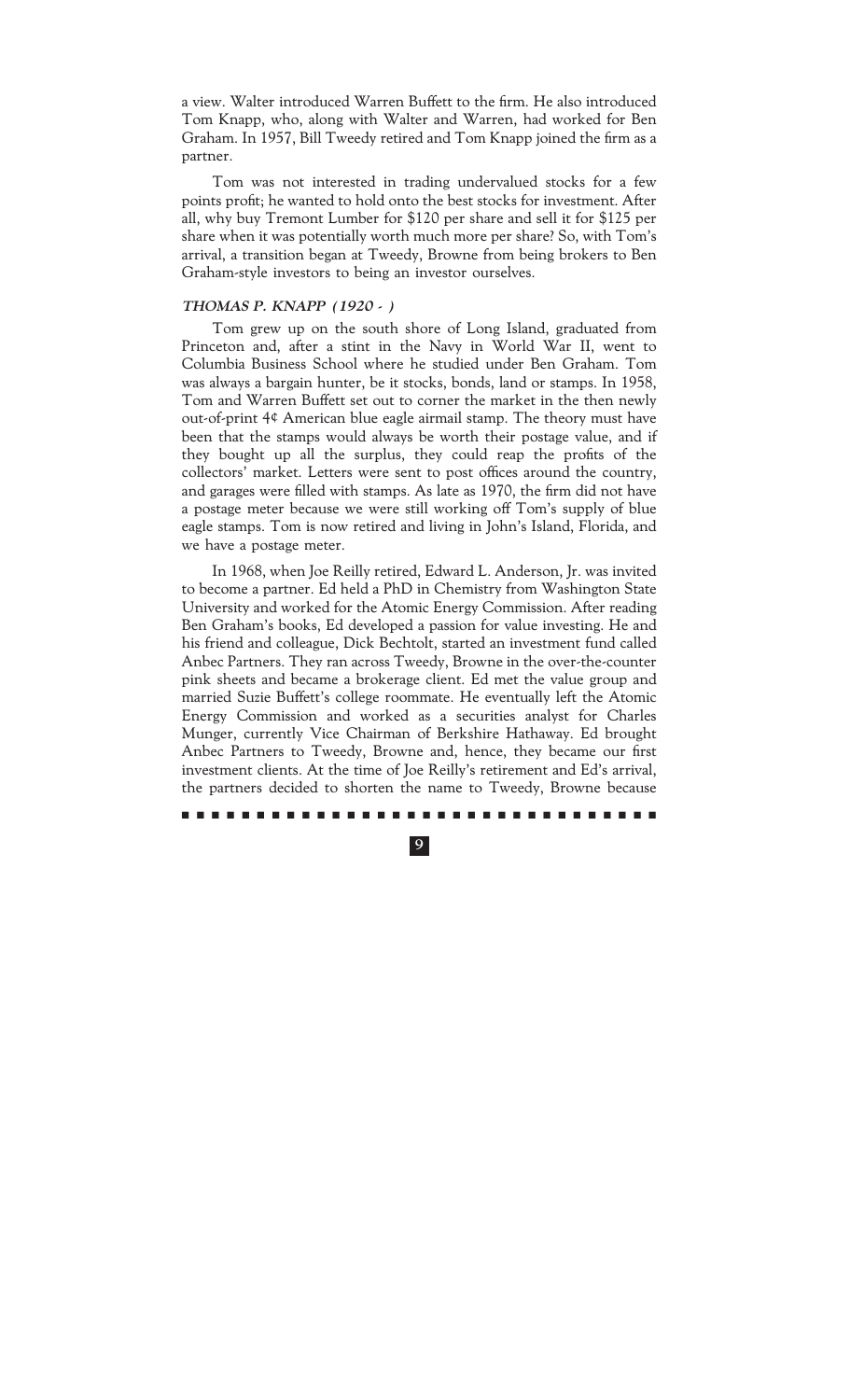a view. Walter introduced Warren Buffett to the firm. He also introduced Tom Knapp, who, along with Walter and Warren, had worked for Ben Graham. In 1957, Bill Tweedy retired and Tom Knapp joined the firm as a partner.

Tom was not interested in trading undervalued stocks for a few points profit; he wanted to hold onto the best stocks for investment. After all, why buy Tremont Lumber for \$120 per share and sell it for \$125 per share when it was potentially worth much more per share? So, with Tom's arrival, a transition began at Tweedy, Browne from being brokers to Ben Graham-style investors to being an investor ourselves.

### **THOMAS P. KNAPP (1920 - )**

Tom grew up on the south shore of Long Island, graduated from Princeton and, after a stint in the Navy in World War II, went to Columbia Business School where he studied under Ben Graham. Tom was always a bargain hunter, be it stocks, bonds, land or stamps. In 1958, Tom and Warren Buffett set out to corner the market in the then newly out-of-print 4¢ American blue eagle airmail stamp. The theory must have been that the stamps would always be worth their postage value, and if they bought up all the surplus, they could reap the profits of the collectors' market. Letters were sent to post offices around the country, and garages were filled with stamps. As late as 1970, the firm did not have a postage meter because we were still working off Tom's supply of blue eagle stamps. Tom is now retired and living in John's Island, Florida, and we have a postage meter.

In 1968, when Joe Reilly retired, Edward L. Anderson, Jr. was invited to become a partner. Ed held a PhD in Chemistry from Washington State University and worked for the Atomic Energy Commission. After reading Ben Graham's books, Ed developed a passion for value investing. He and his friend and colleague, Dick Bechtolt, started an investment fund called Anbec Partners. They ran across Tweedy, Browne in the over-the-counter pink sheets and became a brokerage client. Ed met the value group and married Suzie Buffett's college roommate. He eventually left the Atomic Energy Commission and worked as a securities analyst for Charles Munger, currently Vice Chairman of Berkshire Hathaway. Ed brought Anbec Partners to Tweedy, Browne and, hence, they became our first investment clients. At the time of Joe Reilly's retirement and Ed's arrival, the partners decided to shorten the name to Tweedy, Browne because

### ..........................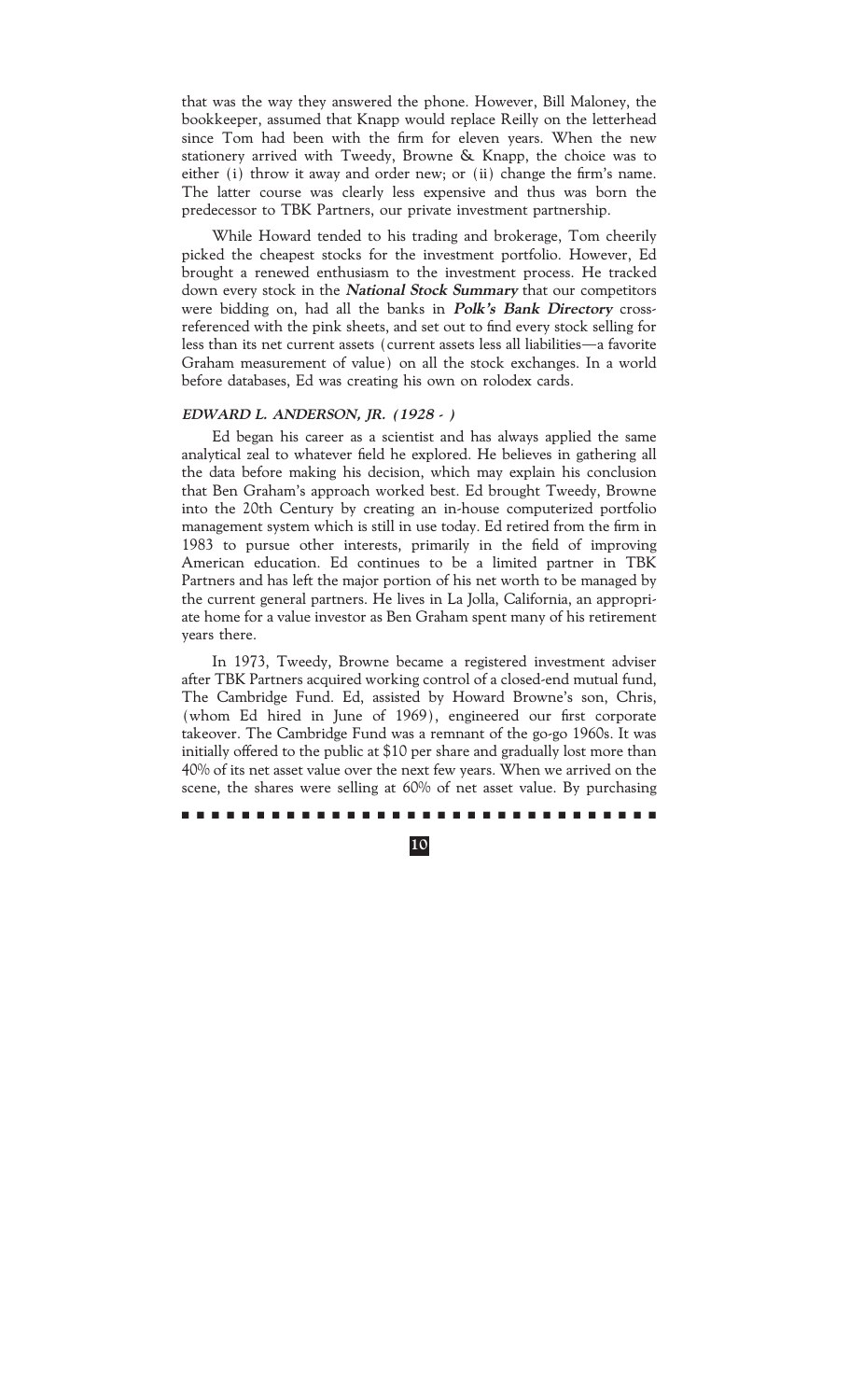that was the way they answered the phone. However, Bill Maloney, the bookkeeper, assumed that Knapp would replace Reilly on the letterhead since Tom had been with the firm for eleven years. When the new stationery arrived with Tweedy, Browne & Knapp, the choice was to either (i) throw it away and order new; or (ii) change the firm's name. The latter course was clearly less expensive and thus was born the predecessor to TBK Partners, our private investment partnership.

While Howard tended to his trading and brokerage, Tom cheerily picked the cheapest stocks for the investment portfolio. However, Ed brought a renewed enthusiasm to the investment process. He tracked down every stock in the **National Stock Summary** that our competitors were bidding on, had all the banks in **Polk's Bank Directory** crossreferenced with the pink sheets, and set out to find every stock selling for less than its net current assets (current assets less all liabilities—a favorite Graham measurement of value) on all the stock exchanges. In a world before databases, Ed was creating his own on rolodex cards.

### **EDWARD L. ANDERSON, JR. (1928 - )**

Ed began his career as a scientist and has always applied the same analytical zeal to whatever field he explored. He believes in gathering all the data before making his decision, which may explain his conclusion that Ben Graham's approach worked best. Ed brought Tweedy, Browne into the 20th Century by creating an in-house computerized portfolio management system which is still in use today. Ed retired from the firm in 1983 to pursue other interests, primarily in the field of improving American education. Ed continues to be a limited partner in TBK Partners and has left the major portion of his net worth to be managed by the current general partners. He lives in La Jolla, California, an appropriate home for a value investor as Ben Graham spent many of his retirement years there.

In 1973, Tweedy, Browne became a registered investment adviser after TBK Partners acquired working control of a closed-end mutual fund, The Cambridge Fund. Ed, assisted by Howard Browne's son, Chris, (whom Ed hired in June of 1969), engineered our first corporate takeover. The Cambridge Fund was a remnant of the go-go 1960s. It was initially offered to the public at \$10 per share and gradually lost more than 40% of its net asset value over the next few years. When we arrived on the scene, the shares were selling at 60% of net asset value. By purchasing

### ..........................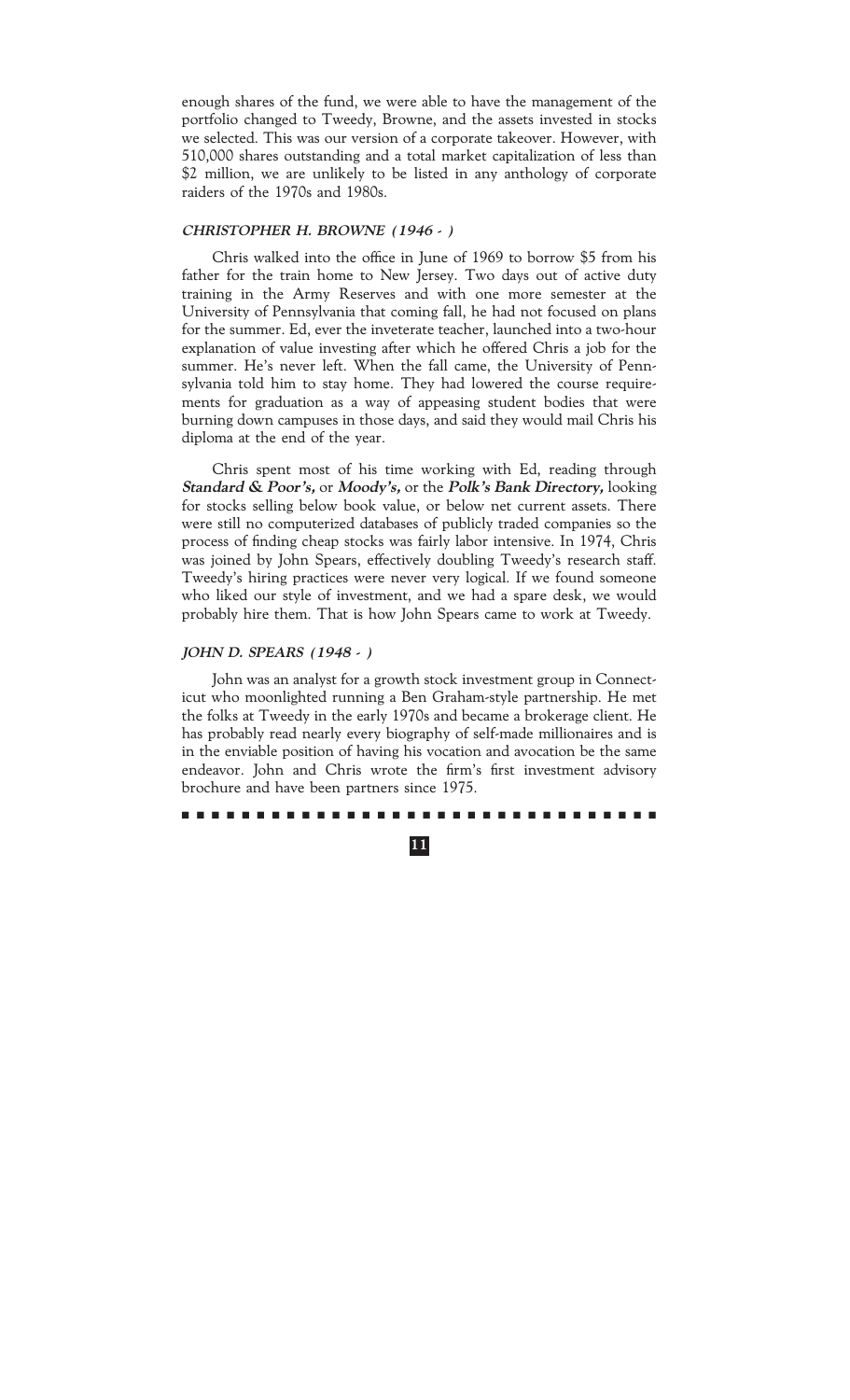enough shares of the fund, we were able to have the management of the portfolio changed to Tweedy, Browne, and the assets invested in stocks we selected. This was our version of a corporate takeover. However, with 510,000 shares outstanding and a total market capitalization of less than \$2 million, we are unlikely to be listed in any anthology of corporate raiders of the 1970s and 1980s.

### **CHRISTOPHER H. BROWNE (1946 - )**

Chris walked into the office in June of 1969 to borrow \$5 from his father for the train home to New Jersey. Two days out of active duty training in the Army Reserves and with one more semester at the University of Pennsylvania that coming fall, he had not focused on plans for the summer. Ed, ever the inveterate teacher, launched into a two-hour explanation of value investing after which he offered Chris a job for the summer. He's never left. When the fall came, the University of Pennsylvania told him to stay home. They had lowered the course requirements for graduation as a way of appeasing student bodies that were burning down campuses in those days, and said they would mail Chris his diploma at the end of the year.

Chris spent most of his time working with Ed, reading through **Standard & Poor's,** or **Moody's,** or the **Polk's Bank Directory,** looking for stocks selling below book value, or below net current assets. There were still no computerized databases of publicly traded companies so the process of finding cheap stocks was fairly labor intensive. In 1974, Chris was joined by John Spears, effectively doubling Tweedy's research staff. Tweedy's hiring practices were never very logical. If we found someone who liked our style of investment, and we had a spare desk, we would probably hire them. That is how John Spears came to work at Tweedy.

### **JOHN D. SPEARS (1948 - )**

John was an analyst for a growth stock investment group in Connecticut who moonlighted running a Ben Graham-style partnership. He met the folks at Tweedy in the early 1970s and became a brokerage client. He has probably read nearly every biography of self-made millionaires and is in the enviable position of having his vocation and avocation be the same endeavor. John and Chris wrote the firm's first investment advisory brochure and have been partners since 1975.

#### ..........................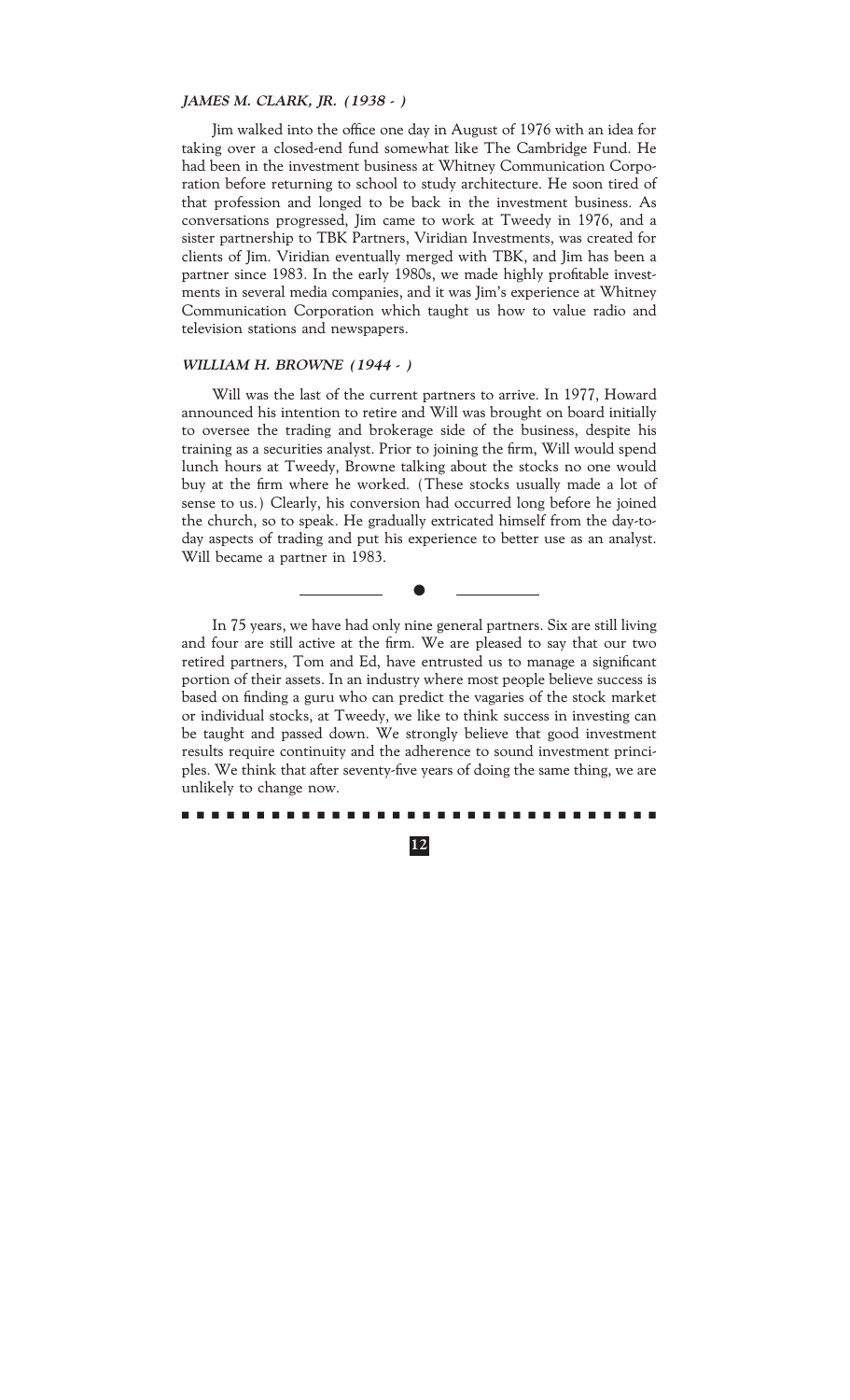### **JAMES M. CLARK, JR. (1938 - )**

Jim walked into the office one day in August of 1976 with an idea for taking over a closed-end fund somewhat like The Cambridge Fund. He had been in the investment business at Whitney Communication Corporation before returning to school to study architecture. He soon tired of that profession and longed to be back in the investment business. As conversations progressed, Jim came to work at Tweedy in 1976, and a sister partnership to TBK Partners, Viridian Investments, was created for clients of Jim. Viridian eventually merged with TBK, and Jim has been a partner since 1983. In the early 1980s, we made highly profitable investments in several media companies, and it was Jim's experience at Whitney Communication Corporation which taught us how to value radio and television stations and newspapers.

### **WILLIAM H. BROWNE (1944 - )**

Will was the last of the current partners to arrive. In 1977, Howard announced his intention to retire and Will was brought on board initially to oversee the trading and brokerage side of the business, despite his training as a securities analyst. Prior to joining the firm, Will would spend lunch hours at Tweedy, Browne talking about the stocks no one would buy at the firm where he worked. (These stocks usually made a lot of sense to us.) Clearly, his conversion had occurred long before he joined the church, so to speak. He gradually extricated himself from the day-today aspects of trading and put his experience to better use as an analyst. Will became a partner in 1983.

In 75 years, we have had only nine general partners. Six are still living and four are still active at the firm. We are pleased to say that our two retired partners, Tom and Ed, have entrusted us to manage a significant portion of their assets. In an industry where most people believe success is based on finding a guru who can predict the vagaries of the stock market or individual stocks, at Tweedy, we like to think success in investing can be taught and passed down. We strongly believe that good investment results require continuity and the adherence to sound investment principles. We think that after seventy-five years of doing the same thing, we are unlikely to change now.

 $\bullet$ 

..........................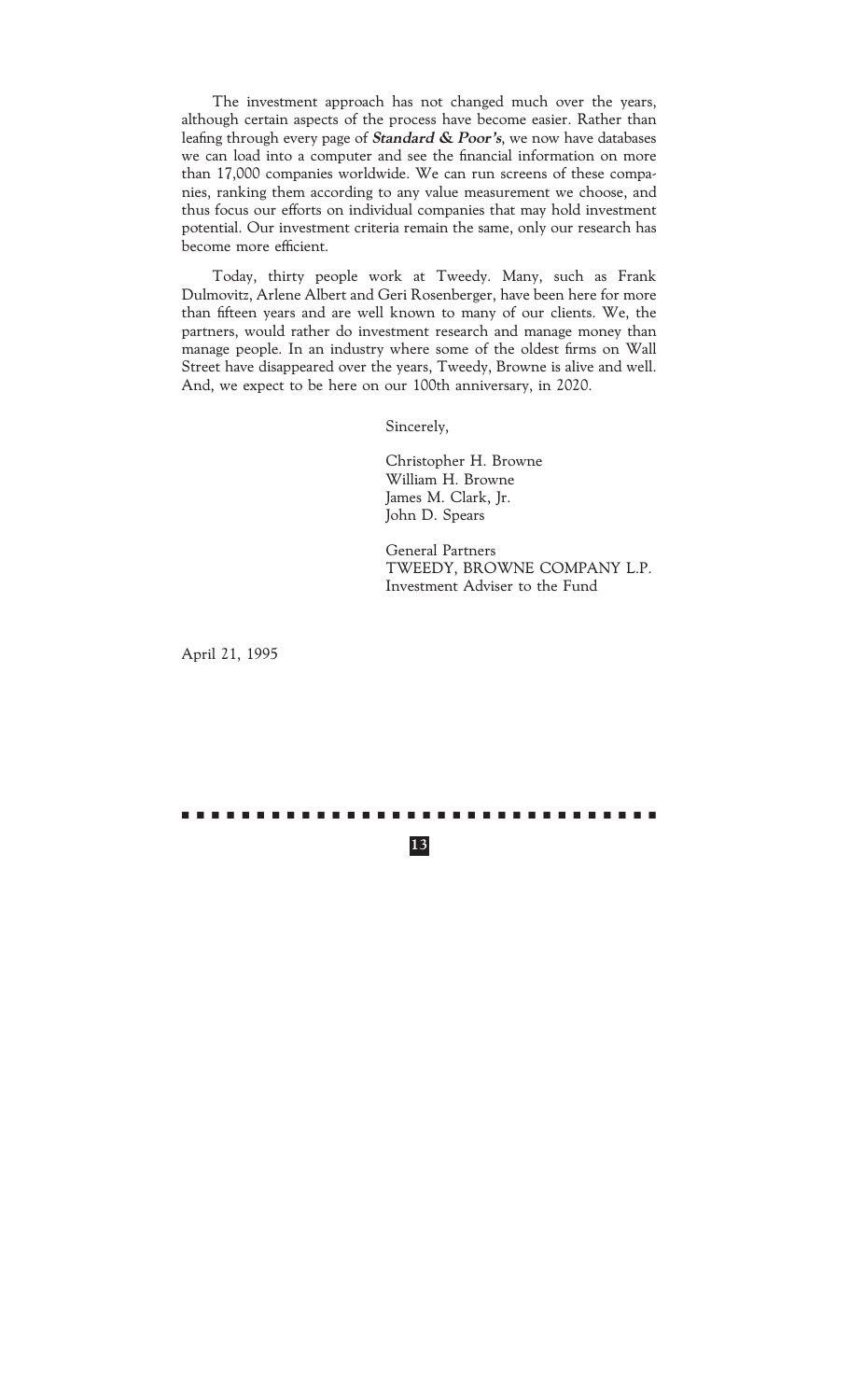The investment approach has not changed much over the years, although certain aspects of the process have become easier. Rather than leafing through every page of *Standard & Poor's*, we now have databases we can load into a computer and see the financial information on more than 17,000 companies worldwide. We can run screens of these companies, ranking them according to any value measurement we choose, and thus focus our efforts on individual companies that may hold investment potential. Our investment criteria remain the same, only our research has become more efficient.

Today, thirty people work at Tweedy. Many, such as Frank Dulmovitz, Arlene Albert and Geri Rosenberger, have been here for more than fifteen years and are well known to many of our clients. We, the partners, would rather do investment research and manage money than manage people. In an industry where some of the oldest firms on Wall Street have disappeared over the years, Tweedy, Browne is alive and well. And, we expect to be here on our 100th anniversary, in 2020.

Sincerely,

Christopher H. Browne William H. Browne James M. Clark, Jr. John D. Spears

General Partners TWEEDY, BROWNE COMPANY L.P. Investment Adviser to the Fund

April 21, 1995

**13**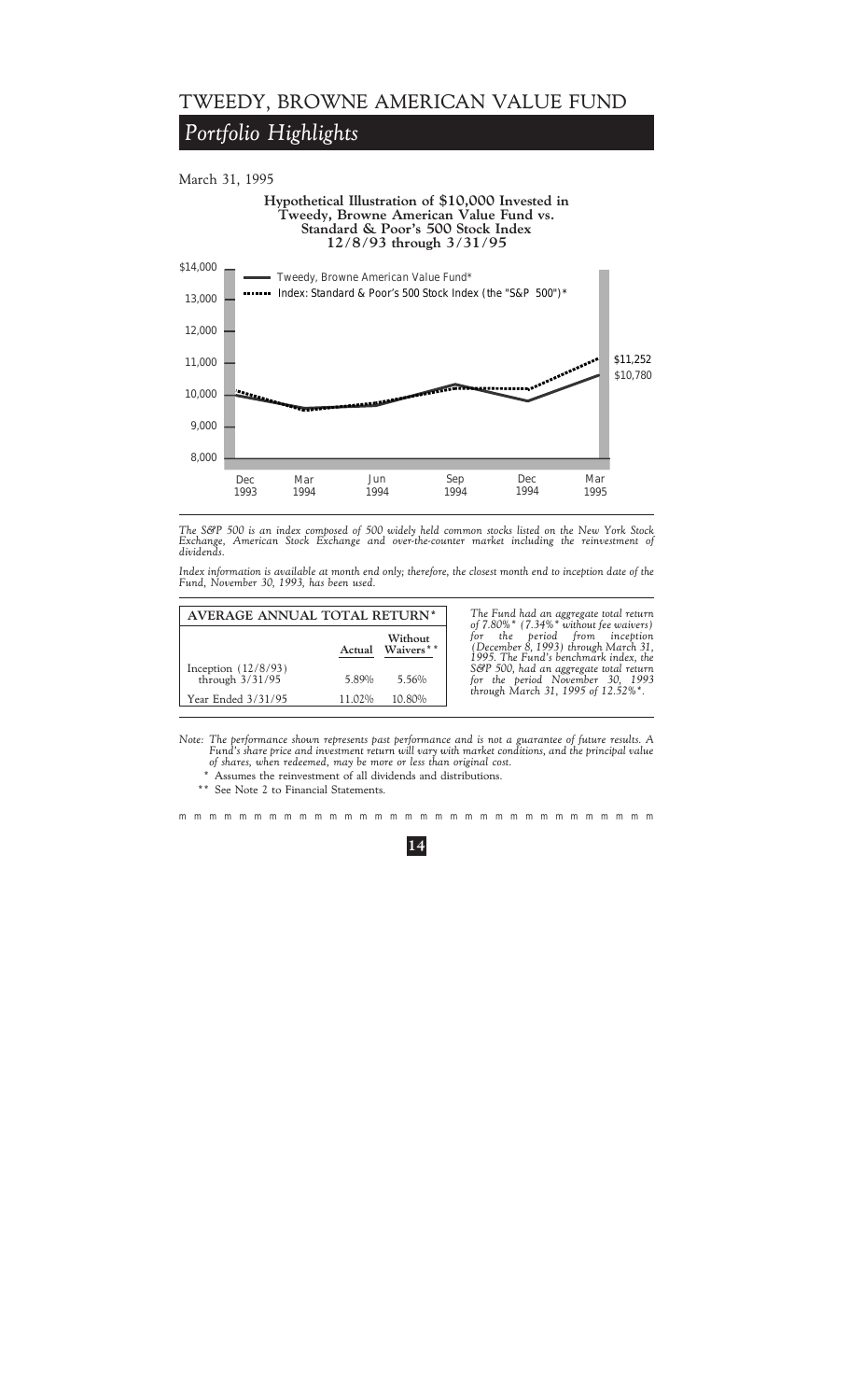### *Portfolio Highlights*

March 31, 1995



*The S&P 500 is an index composed of 500 widely held common stocks listed on the New York Stock Exchange, American Stock Exchange and over-the-counter market including the reinvestment of dividends.*

*Index information is available at month end only; therefore, the closest month end to inception date of the Fund, November 30, 1993, has been used.*

| AVERAGE ANNUAL TOTAL RETURN*               |        |                     |  |
|--------------------------------------------|--------|---------------------|--|
|                                            | Actual | Without<br>Waivers* |  |
| Inception $(12/8/93)$<br>through $3/31/95$ | 5.89%  | 5.56%               |  |
| Year Ended 3/31/95                         | 11.02% | 10.80%              |  |

**AVERAGE ANNUAL TOTAL RETURN\*** *The Fund had an aggregate total return of 7.80%\* (7.34%\* without fee waivers)* **Without** *for the period from inception* **Actual Waivers\*\*** *(December 8, 1993) through March 31, 1995. The Fund's benchmark index, the* S&P 500, had an aggregate total return for the period November 30, 1993 *through March 31, 1995 of 12.52%\*.* 

*Note: The performance shown represents past performance and is not a guarantee of future results. A Fund's share price and investment return will vary with market conditions, and the principal value of shares, when redeemed, may be more or less than original cost.*

\* Assumes the reinvestment of all dividends and distributions.

\*\* See Note 2 to Financial Statements.

mmmmmmmmmmmmmmmmmmmmmmmmmmmmmmmm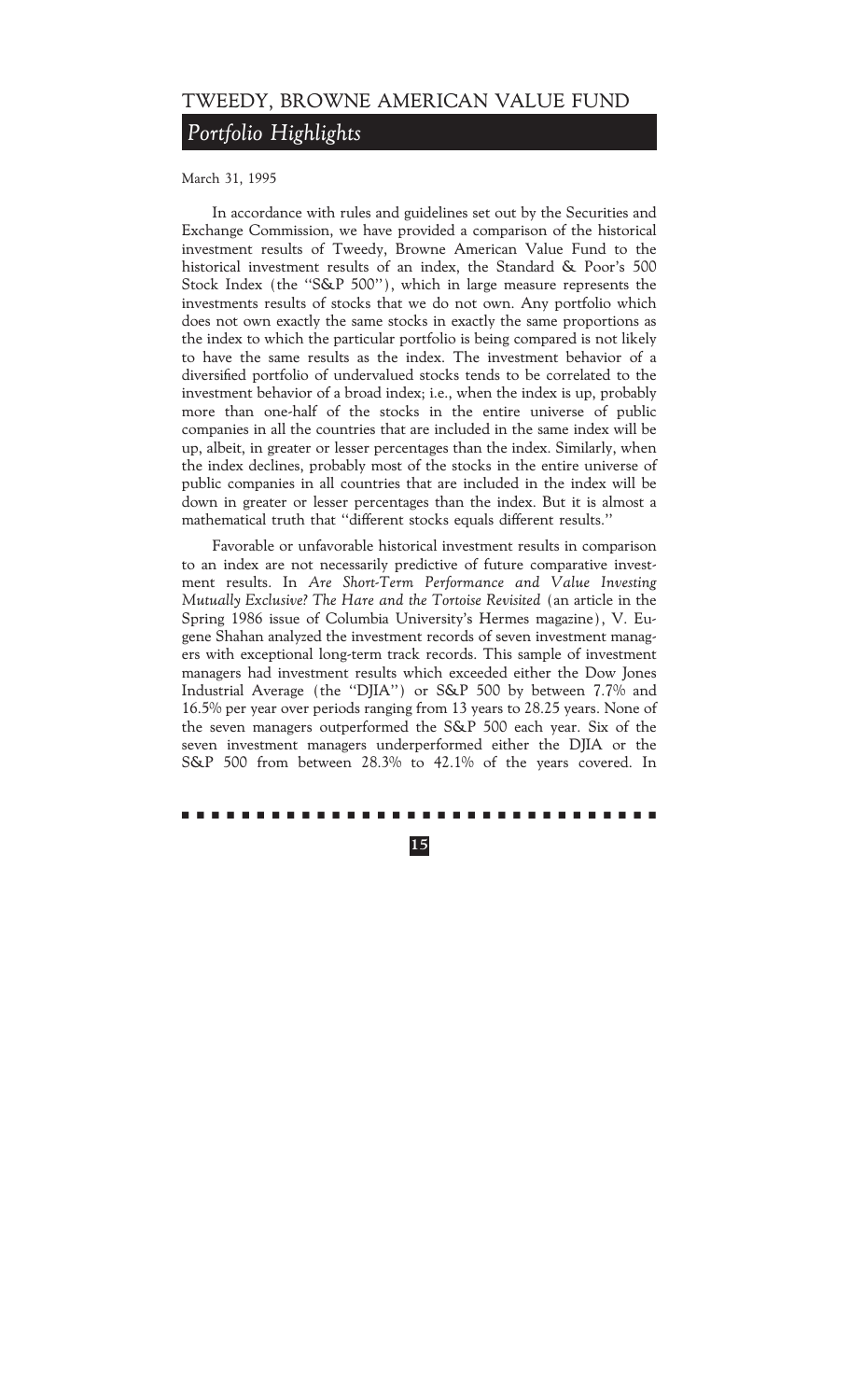## *Portfolio Highlights*

March 31, 1995

In accordance with rules and guidelines set out by the Securities and Exchange Commission, we have provided a comparison of the historical investment results of Tweedy, Browne American Value Fund to the historical investment results of an index, the Standard & Poor's 500 Stock Index (the "S&P 500"), which in large measure represents the investments results of stocks that we do not own. Any portfolio which does not own exactly the same stocks in exactly the same proportions as the index to which the particular portfolio is being compared is not likely to have the same results as the index. The investment behavior of a diversified portfolio of undervalued stocks tends to be correlated to the investment behavior of a broad index; i.e., when the index is up, probably more than one-half of the stocks in the entire universe of public companies in all the countries that are included in the same index will be up, albeit, in greater or lesser percentages than the index. Similarly, when the index declines, probably most of the stocks in the entire universe of public companies in all countries that are included in the index will be down in greater or lesser percentages than the index. But it is almost a mathematical truth that "different stocks equals different results."

Favorable or unfavorable historical investment results in comparison to an index are not necessarily predictive of future comparative investment results. In *Are Short-Term Performance and Value Investing Mutually Exclusive? The Hare and the Tortoise Revisited* (an article in the Spring 1986 issue of Columbia University's Hermes magazine), V. Eugene Shahan analyzed the investment records of seven investment managers with exceptional long-term track records. This sample of investment managers had investment results which exceeded either the Dow Jones Industrial Average (the "DJIA") or S&P 500 by between 7.7% and 16.5% per year over periods ranging from 13 years to 28.25 years. None of the seven managers outperformed the S&P 500 each year. Six of the seven investment managers underperformed either the DJIA or the S&P 500 from between 28.3% to 42.1% of the years covered. In

#### ..........................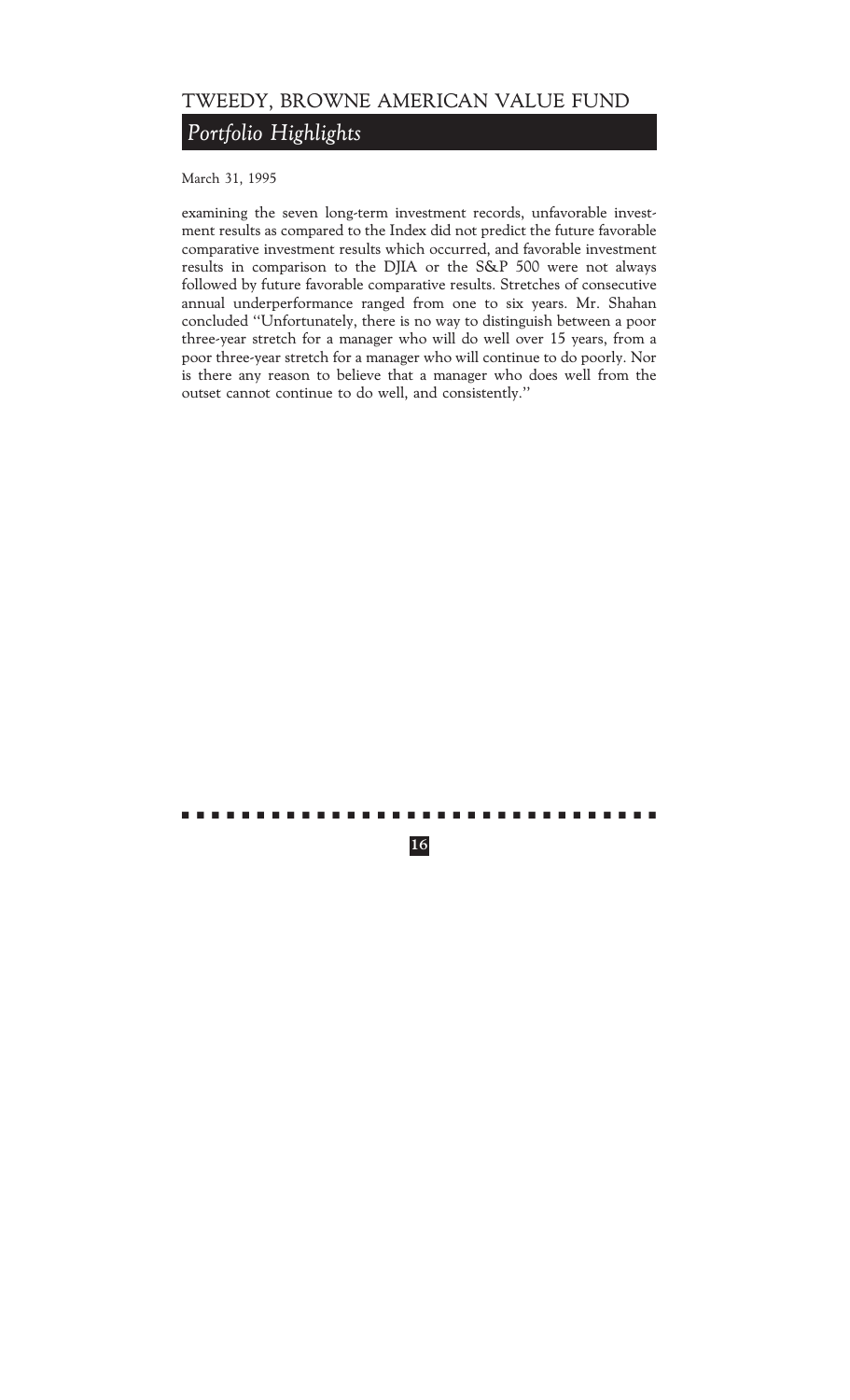## *Portfolio Highlights*

March 31, 1995

examining the seven long-term investment records, unfavorable investment results as compared to the Index did not predict the future favorable comparative investment results which occurred, and favorable investment results in comparison to the DJIA or the S&P 500 were not always followed by future favorable comparative results. Stretches of consecutive annual underperformance ranged from one to six years. Mr. Shahan concluded ""Unfortunately, there is no way to distinguish between a poor three-year stretch for a manager who will do well over 15 years, from a poor three-year stretch for a manager who will continue to do poorly. Nor is there any reason to believe that a manager who does well from the outset cannot continue to do well, and consistently.''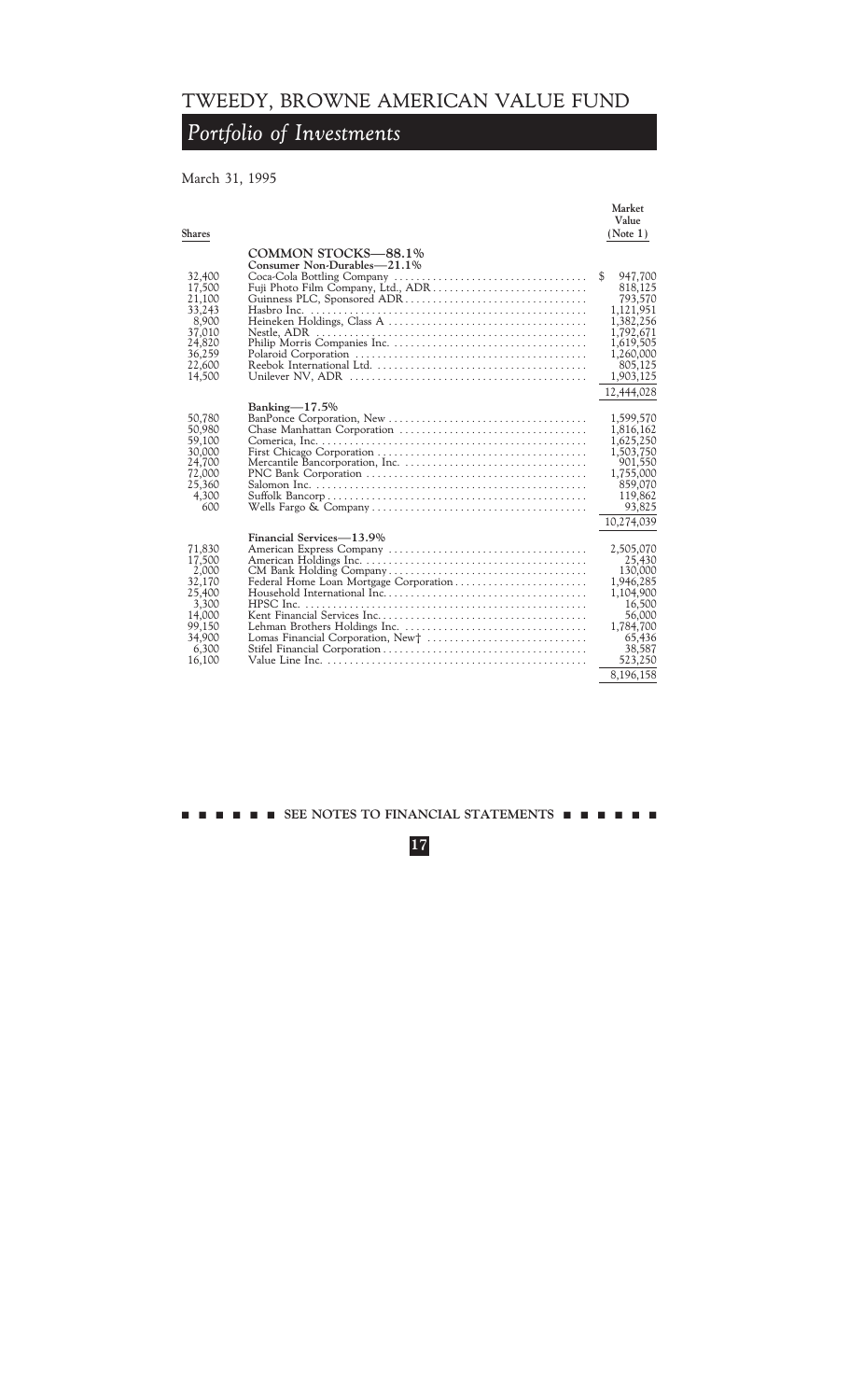## *Portfolio of Investments*

### March 31, 1995

| <b>Shares</b>                                                                                                                                                                                                                   | Market<br>Value<br>(Note 1)                                                                                                                |
|---------------------------------------------------------------------------------------------------------------------------------------------------------------------------------------------------------------------------------|--------------------------------------------------------------------------------------------------------------------------------------------|
| COMMON STOCKS-88.1%<br>Consumer Non-Durables-21.1%<br>32,400<br>Fuji Photo Film Company, Ltd., ADR<br>17,500<br>21,100<br>33,243<br>8,900<br>37,010<br>24,820<br>36,259<br>22,600<br>14,500                                     | \$<br>947,700<br>818,125<br>793,570<br>1,121,951<br>1,382,256<br>1,792,671<br>1,619,505<br>1,260,000<br>805,125<br>1,903,125<br>12,444,028 |
| Banking $-17.5\%$<br>50,780<br>50,980<br>59,100<br>30,000<br>24,700<br>72,000<br>25,360<br>4,300<br>600                                                                                                                         | 1,599,570<br>1,816,162<br>1,625,250<br>1,503,750<br>901,550<br>1,755,000<br>859,070<br>119,862<br>93,825<br>10,274,039                     |
| Financial Services—13.9%<br>71,830<br>17,500<br>2,000<br>32,170<br>Federal Home Loan Mortgage Corporation<br>25,400<br>3,300<br>HPSC Inc.<br>14,000<br>99,150<br>34,900<br>Lomas Financial Corporation, New†<br>6,300<br>16,100 | 2,505,070<br>25,430<br>130,000<br>1,946,285<br>1,104,900<br>16,500<br>56,000<br>1,784,700<br>65,436<br>38,587<br>523,250<br>8,196,158      |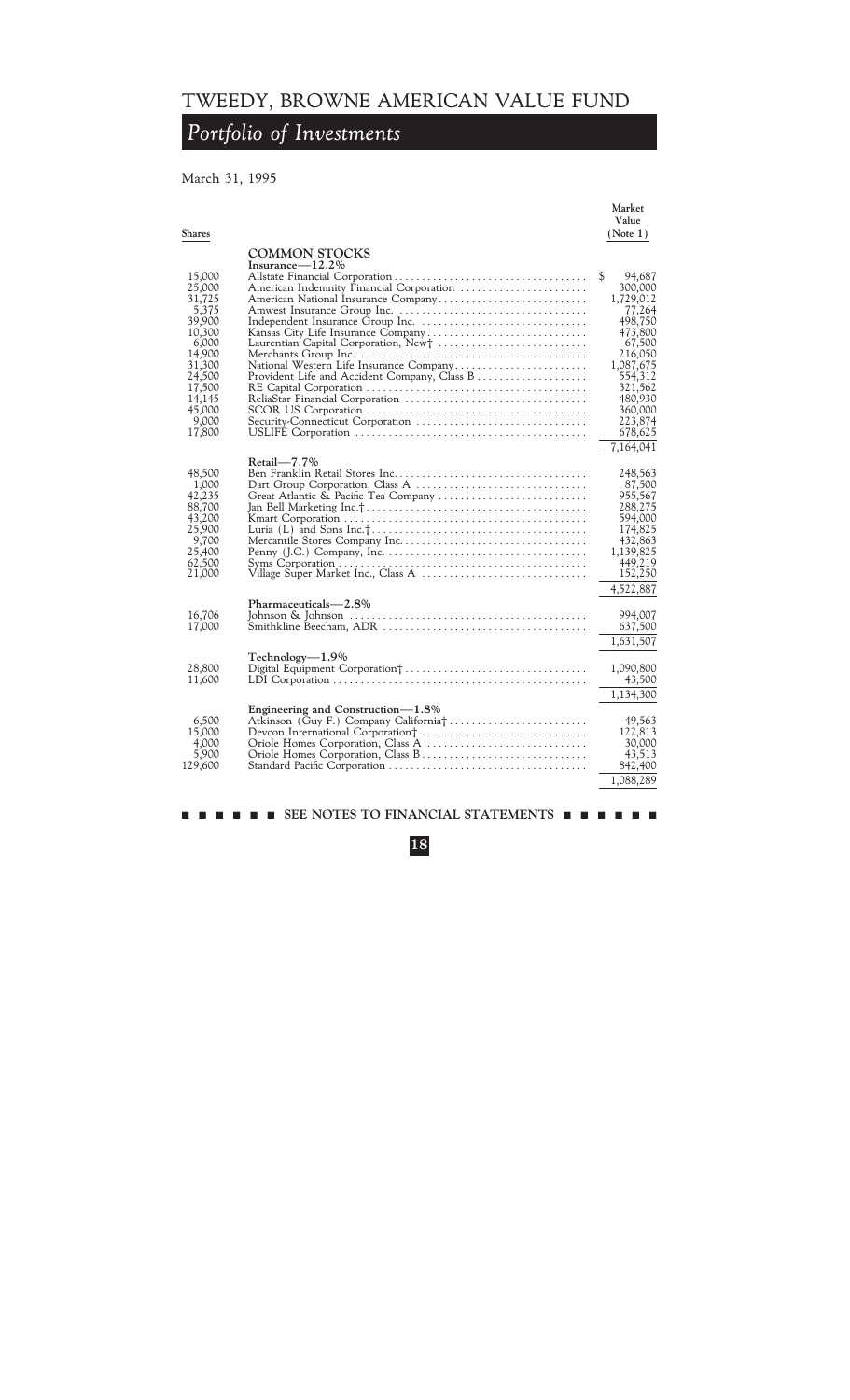## *Portfolio of Investments*

### March 31, 1995

| Shares           |                                              | Market<br>Value<br>(Note 1) |
|------------------|----------------------------------------------|-----------------------------|
|                  |                                              |                             |
|                  | <b>COMMON STOCKS</b>                         |                             |
|                  | Insurance $-12.2\%$                          | \$                          |
| 15,000<br>25,000 | American Indemnity Financial Corporation     | 94,687<br>300,000           |
| 31,725           | American National Insurance Company          | 1,729,012                   |
| 5,375            |                                              | 77,264                      |
| 39,900           |                                              | 498.750                     |
| 10,300           | Kansas City Life Insurance Company           | 473,800                     |
| 6,000            | Laurentian Capital Corporation, New†         | 67,500                      |
| 14,900           |                                              | 216,050                     |
| 31,300           | National Western Life Insurance Company      | 1,087,675                   |
| 24,500           | Provident Life and Accident Company, Class B | 554,312                     |
| 17,500           |                                              | 321,562                     |
| 14,145           |                                              | 480,930                     |
| 45,000           |                                              | 360,000                     |
| 9.000            | Security-Connecticut Corporation             | 223,874                     |
| 17,800           |                                              | 678,625                     |
|                  |                                              | 7,164,041                   |
|                  | $Retail - 7.7\%$                             |                             |
| 48,500           |                                              | 248,563                     |
| 1,000            |                                              | 87,500                      |
| 42,235           | Great Atlantic & Pacific Tea Company         | 955,567                     |
| 88,700           |                                              | 288,275                     |
| 43,200           |                                              | 594,000                     |
| 25,900           |                                              | 174,825                     |
| 9,700            |                                              | 432,863                     |
| 25,400           |                                              | 1,139,825                   |
| 62,500           |                                              | 449,219                     |
| 21,000           | Village Super Market Inc., Class A           | 152,250                     |
|                  |                                              | 4,522,887                   |
|                  | Pharmaceuticals-2.8%                         |                             |
| 16,706           |                                              | 994,007                     |
| 17,000           |                                              | 637,500                     |
|                  |                                              | 1,631,507                   |
|                  |                                              |                             |
|                  | Technology-1.9%                              |                             |
| 28,800           |                                              | 1,090,800                   |
| 11,600           |                                              | 43,500                      |
|                  |                                              | 1,134,300                   |
|                  | Engineering and Construction—1.8%            |                             |
| 6,500            | Atkinson (Guy F.) Company California†        | 49,563                      |
| 15,000           |                                              | 122,813                     |
| 4,000            |                                              | 30,000                      |
| 5,900            | Oriole Homes Corporation, Class B            | 43,513                      |
| 129,600          |                                              | 842,400                     |
|                  |                                              | 1,088,289                   |
|                  |                                              |                             |
|                  |                                              |                             |

### **18**

 $\blacksquare$  SEE NOTES TO FINANCIAL STATEMENTS  $\blacksquare$   $\blacksquare$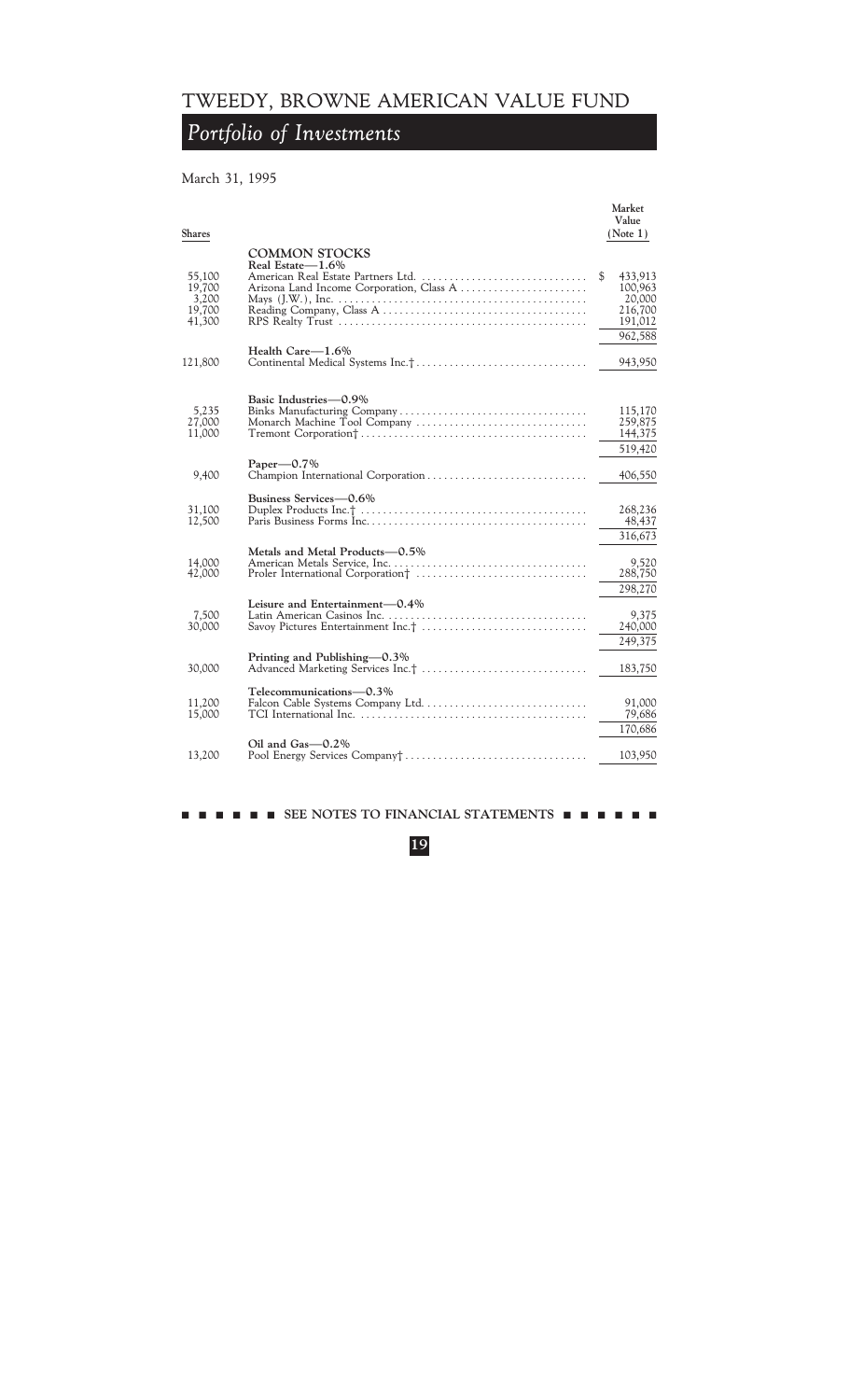## *Portfolio of Investments*

### March 31, 1995

| Shares                                        |                                                                                                                                                                                    | Market<br>Value<br>(Note 1)                              |
|-----------------------------------------------|------------------------------------------------------------------------------------------------------------------------------------------------------------------------------------|----------------------------------------------------------|
|                                               | <b>COMMON STOCKS</b>                                                                                                                                                               |                                                          |
| 55,100<br>19,700<br>3,200<br>19,700<br>41,300 | Real Estate-1.6%<br>American Real Estate Partners Ltd.<br>Arizona Land Income Corporation, Class A                                                                                 | \$<br>433,913<br>100,963<br>20,000<br>216,700<br>191,012 |
|                                               |                                                                                                                                                                                    | 962,588                                                  |
| 121,800                                       | Health Care-1.6%                                                                                                                                                                   | 943,950                                                  |
| 5,235<br>27,000<br>11,000                     | Basic Industries - 0.9%<br>Monarch Machine Tool Company                                                                                                                            | 115,170<br>259,875<br>144,375<br>519,420                 |
| 9,400                                         | Paper $-0.7\%$                                                                                                                                                                     | 406,550                                                  |
| 31,100<br>12,500                              | Business Services—0.6%                                                                                                                                                             | 268,236<br>48,437<br>316,673                             |
| 14,000<br>42,000                              | Metals and Metal Products-0.5%                                                                                                                                                     | 9,520<br>288,750<br>298,270                              |
| 7,500<br>30,000                               | Leisure and Entertainment-0.4%<br>Savoy Pictures Entertainment Inc.†                                                                                                               | 9,375<br>240,000                                         |
| 30,000                                        | Printing and Publishing-0.3%                                                                                                                                                       | 249,375<br>183,750                                       |
| 11,200<br>15,000                              | Telecommunications-0.3%<br>Falcon Cable Systems Company Ltd<br>TCI International Inc. $\ldots \ldots \ldots \ldots \ldots \ldots \ldots \ldots \ldots \ldots \ldots \ldots \ldots$ | 91,000<br>79,686                                         |
|                                               |                                                                                                                                                                                    | 170,686                                                  |
| 13,200                                        | Oil and $Gas-0.2\%$                                                                                                                                                                | 103,950                                                  |
|                                               |                                                                                                                                                                                    |                                                          |

### $\blacksquare$  SEE NOTES TO FINANCIAL STATEMENTS  $\blacksquare$   $\blacksquare$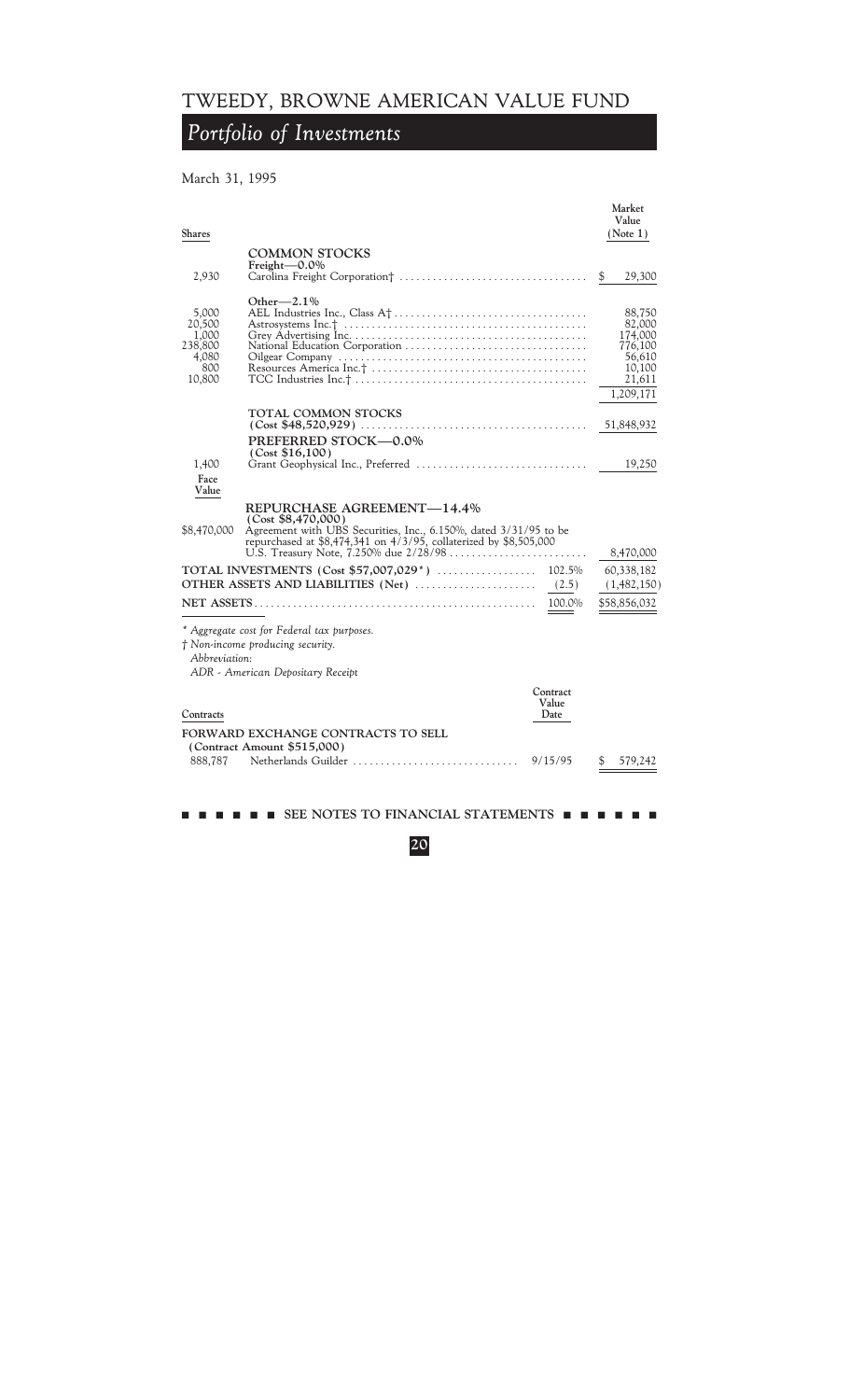## *Portfolio of Investments*

### March 31, 1995

| <b>Shares</b>                                                 |                                                                                                                                                                                           | Market<br>Value<br>(Note 1)                                                       |
|---------------------------------------------------------------|-------------------------------------------------------------------------------------------------------------------------------------------------------------------------------------------|-----------------------------------------------------------------------------------|
|                                                               | <b>COMMON STOCKS</b>                                                                                                                                                                      |                                                                                   |
| 2,930                                                         | Freight $-0.0\%$                                                                                                                                                                          | \$<br>29,300                                                                      |
| 5,000<br>20,500<br>1,000<br>238,800<br>4.080<br>800<br>10,800 | Other $-2.1\%$                                                                                                                                                                            | 88,750<br>82,000<br>174,000<br>776,100<br>56,610<br>10,100<br>21,611<br>1,209,171 |
|                                                               | <b>TOTAL COMMON STOCKS</b>                                                                                                                                                                | 51,848,932                                                                        |
| 1,400<br>Face                                                 | PREFERRED STOCK-0.0%<br>(Cost \$16,100)                                                                                                                                                   | 19,250                                                                            |
| Value                                                         |                                                                                                                                                                                           |                                                                                   |
| \$8,470,000                                                   | REPURCHASE AGREEMENT—14.4%<br>(Cost \$8,470,000)<br>Agreement with UBS Securities, Inc., 6.150%, dated 3/31/95 to be<br>repurchased at \$8,474,341 on 4/3/95, collaterized by \$8,505,000 | 8,470,000                                                                         |
|                                                               | OTHER ASSETS AND LIABILITIES (Net)<br>(2.5)                                                                                                                                               | 60,338,182<br>(1,482,150)                                                         |
|                                                               | 100.0%                                                                                                                                                                                    | \$58,856,032                                                                      |
| Abbreviation:                                                 | * Aggregate cost for Federal tax purposes.<br>† Non-income producing security.<br>ADR - American Depositary Receipt                                                                       |                                                                                   |
| Contracts                                                     | Contract<br>Value<br>Date                                                                                                                                                                 |                                                                                   |
|                                                               | FORWARD EXCHANGE CONTRACTS TO SELL                                                                                                                                                        |                                                                                   |
| 888,787                                                       | (Contract Amount \$515,000)<br>Netherlands Guilder<br>9/15/95                                                                                                                             | 579,242                                                                           |

 $\blacksquare$  SEE NOTES TO FINANCIAL STATEMENTS  $\blacksquare$   $\blacksquare$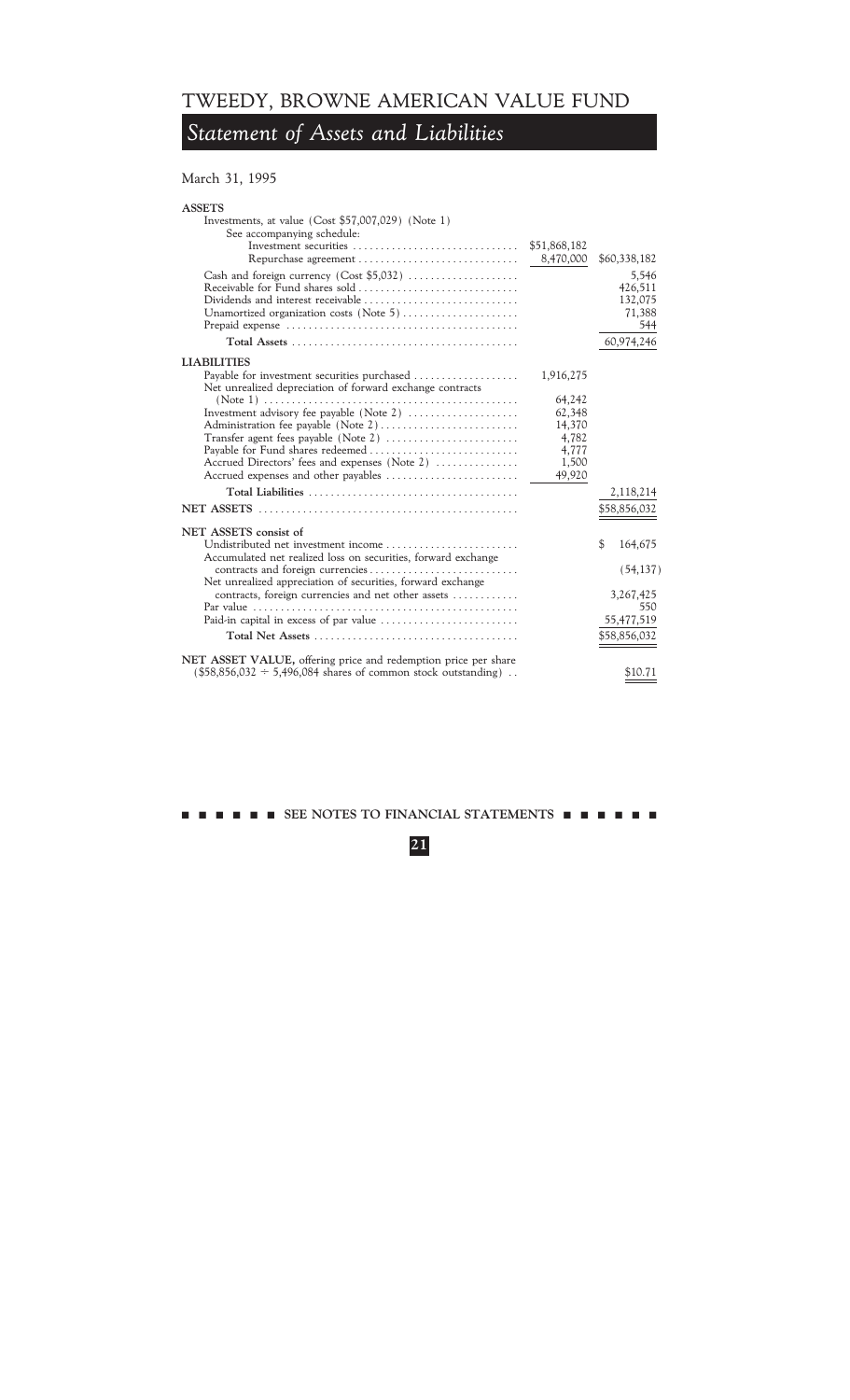## *Statement of Assets and Liabilities*

### March 31, 1995

### **ASSETS** Investments, at value (Cost \$57,007,029) (Note 1)

| See accompanying schedule:<br>Investment securities<br>Repurchase agreement                                                                                                                                                                         | \$51,868,182<br>8,470,000                                       | \$60,338,182                                 |
|-----------------------------------------------------------------------------------------------------------------------------------------------------------------------------------------------------------------------------------------------------|-----------------------------------------------------------------|----------------------------------------------|
| Dividends and interest receivable<br>Unamortized organization costs (Note 5)                                                                                                                                                                        |                                                                 | 5,546<br>426,511<br>132,075<br>71,388<br>544 |
|                                                                                                                                                                                                                                                     |                                                                 | 60,974,246                                   |
| LIABILITIES                                                                                                                                                                                                                                         |                                                                 |                                              |
| Payable for investment securities purchased<br>Net unrealized depreciation of forward exchange contracts                                                                                                                                            | 1,916,275                                                       |                                              |
| Investment advisory fee payable (Note 2)<br>Administration fee payable (Note 2)<br>Transfer agent fees payable (Note 2)<br>Payable for Fund shares redeemed<br>Accrued Directors' fees and expenses (Note 2)<br>Accrued expenses and other payables | 64,242<br>62,348<br>14,370<br>4,782<br>4,777<br>1,500<br>49,920 |                                              |
|                                                                                                                                                                                                                                                     |                                                                 | 2,118,214                                    |
|                                                                                                                                                                                                                                                     |                                                                 | \$58,856,032                                 |
| NET ASSETS consist of                                                                                                                                                                                                                               |                                                                 |                                              |
| Undistributed net investment income<br>Accumulated net realized loss on securities, forward exchange                                                                                                                                                |                                                                 | \$<br>164,675                                |
| contracts and foreign currencies<br>Net unrealized appreciation of securities, forward exchange                                                                                                                                                     |                                                                 | (54, 137)                                    |
| contracts, foreign currencies and net other assets                                                                                                                                                                                                  |                                                                 | 3,267,425<br>550                             |
|                                                                                                                                                                                                                                                     |                                                                 | 55,477,519                                   |
|                                                                                                                                                                                                                                                     |                                                                 | \$58,856,032                                 |
| NET ASSET VALUE, offering price and redemption price per share<br>$($58,856,032 \div 5,496,084$ shares of common stock outstanding)$ .                                                                                                              |                                                                 | \$10.71                                      |

mmmmmm **SEE NOTES TO FINANCIAL STATEMENTS** mmmmmm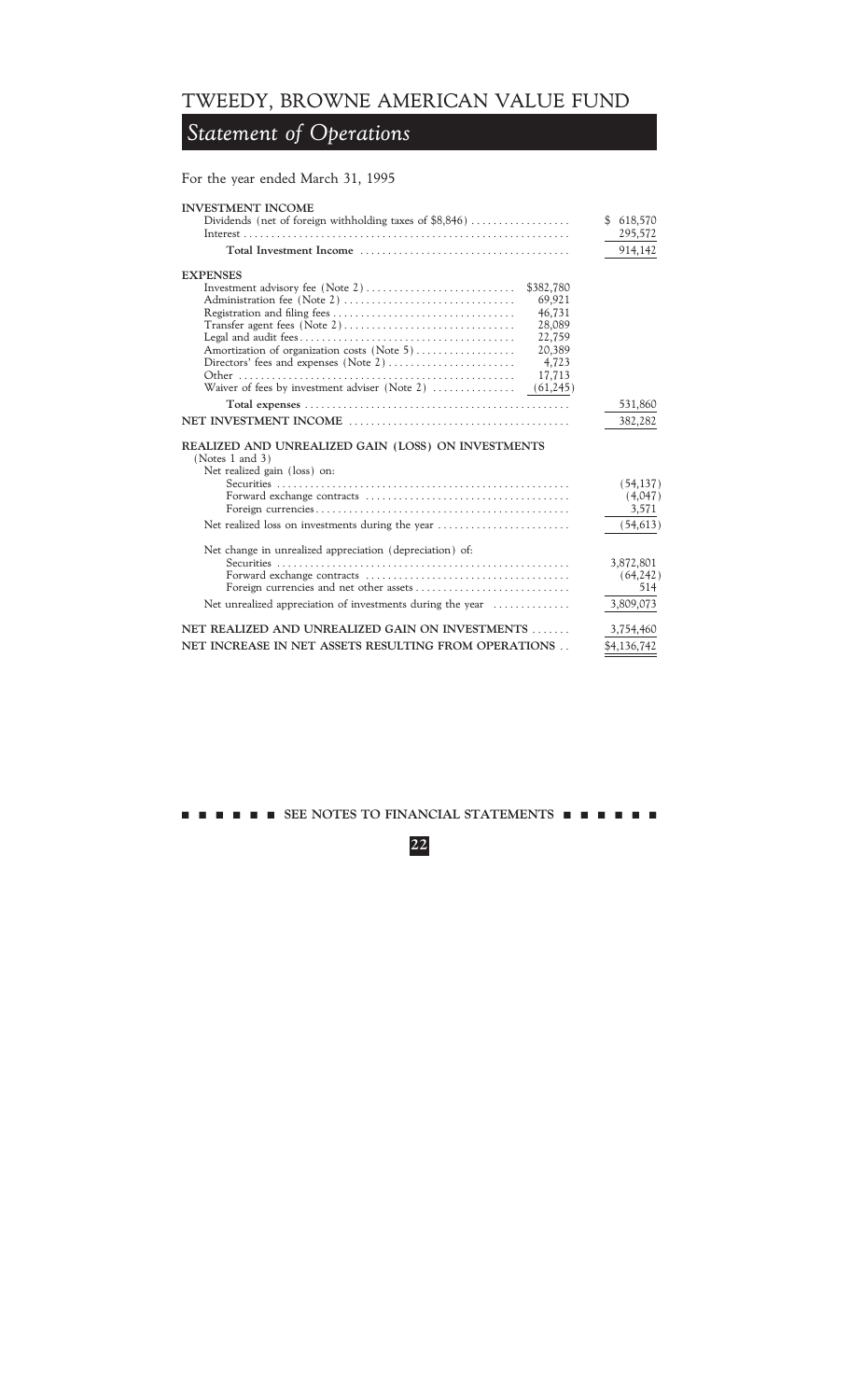### *Statement of Operations*

For the year ended March 31, 1995 **INVESTMENT INCOME** Dividends (net of foreign withholding taxes of  $$8,846)$  ...........................\$ 618,570 Interest ÏÏÏÏÏÏÏÏÏÏÏÏÏÏÏÏÏÏÏÏÏÏÏÏÏÏÏÏÏÏÏÏÏÏÏÏÏÏÏÏÏÏÏÏÏÏÏÏÏÏÏÏÏÏÏÏÏÏÏ 295,572 **Total Investment Income** ÏÏÏÏÏÏÏÏÏÏÏÏÏÏÏÏÏÏÏÏÏÏÏÏÏÏÏÏÏÏÏÏÏÏÏÏÏÏ 914,142 **EXPENSES** Investment advisory fee (Note 2)  $\ldots$   $\ldots$   $\ldots$   $\ldots$  \$382,780 Administration fee (Note 2) ÏÏÏÏÏÏÏÏÏÏÏÏÏÏÏÏÏÏÏÏÏÏÏÏÏÏÏÏÏÏÏ 69,921 Registration and filing fees  $\dots \dots \dots \dots \dots \dots \dots \dots$  46,731 Transfer agent fees (Note 2)ÏÏÏÏÏÏÏÏÏÏÏÏÏÏÏÏÏÏÏÏÏÏÏÏÏÏÏÏÏÏÏ 28,089 Legal and audit feesÏÏÏÏÏÏÏÏÏÏÏÏÏÏÏÏÏÏÏÏÏÏÏÏÏÏÏÏÏÏÏÏÏÏÏÏÏÏÏ 22,759 Amortization of organization costs (Note 5)ÏÏÏÏÏÏÏÏÏÏÏÏÏÏÏÏÏÏ 20,389 Directors' fees and expenses (Note 2)ÏÏÏÏÏÏÏÏÏÏÏÏÏÏÏÏÏÏÏÏÏÏÏ 4,723 Other ÏÏÏÏÏÏÏÏÏÏÏÏÏÏÏÏÏÏÏÏÏÏÏÏÏÏÏÏÏÏÏÏÏÏÏÏÏÏÏÏÏÏÏÏÏÏÏÏÏÏ 17,713 Waiver of fees by investment adviser (Note 2)  $\dots$  $\dots$  $\dots$  (61,245) **Total expenses** ÏÏÏÏÏÏÏÏÏÏÏÏÏÏÏÏÏÏÏÏÏÏÏÏÏÏÏÏÏÏÏÏÏÏÏÏÏÏÏÏÏÏÏÏÏÏÏÏ 531,860 **NET INVESTMENT INCOME** ÏÏÏÏÏÏÏÏÏÏÏÏÏÏÏÏÏÏÏÏÏÏÏÏÏÏÏÏÏÏÏÏÏÏÏÏÏÏÏÏ 382,282 **REALIZED AND UNREALIZED GAIN (LOSS) ON INVESTMENTS** (Notes 1 and 3) Net realized gain (loss) on: Securities  $\ldots \ldots \ldots \ldots \ldots \ldots \ldots \ldots \ldots \ldots$  (54,137) Forward exchange contracts  $\ldots \ldots \ldots \ldots \ldots \ldots \ldots$  (4,047) Foreign currenciesÏÏÏÏÏÏÏÏÏÏÏÏÏÏÏÏÏÏÏÏÏÏÏÏÏÏÏÏÏÏÏÏÏÏÏÏÏÏÏÏÏÏÏÏÏÏ 3,571 Net realized loss on investments during the year  $\dots$  $\dots$  $\dots$  $\dots$  $\dots$  (54,613) Net change in unrealized appreciation (depreciation) of: Securities ÏÏÏÏÏÏÏÏÏÏÏÏÏÏÏÏÏÏÏÏÏÏÏÏÏÏÏÏÏÏÏÏÏÏÏÏÏÏÏÏÏÏÏÏÏÏÏÏÏÏÏÏÏ 3,872,801 Forward exchange contracts  $\ldots \ldots \ldots \ldots \ldots \ldots \ldots$  (64,242) Foreign currencies and net other assets  $\dots$  $\dots$  $\dots$  $\dots$  $\dots$ Net unrealized appreciation of investments during the year  $\dots$  $3,809,073$ **NET REALIZED AND UNREALIZED GAIN ON INVESTMENTS ....... 3,754,460 NET INCREASE IN NET ASSETS RESULTING FROM OPERATIONS . . \$4,136,742**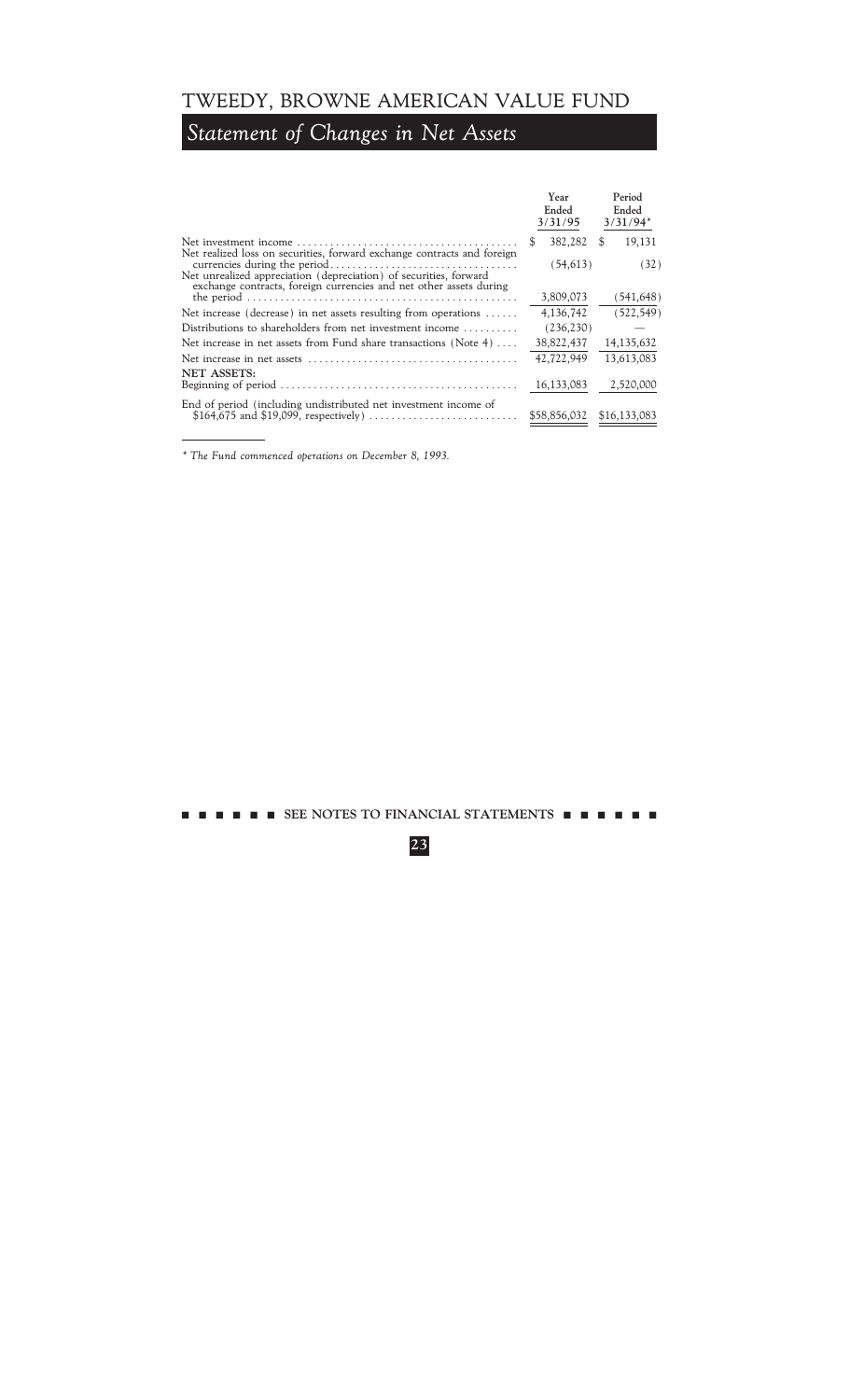# *Statement of Changes in Net Assets*

|                                                                                                                                              | Year<br>Ended<br>3/31/95 | Period<br>Ended<br>$3/31/94*$ |
|----------------------------------------------------------------------------------------------------------------------------------------------|--------------------------|-------------------------------|
|                                                                                                                                              | \$.<br>382,282           | 19,131<br>\$.                 |
| Net realized loss on securities, forward exchange contracts and foreign<br>Net unrealized appreciation (depreciation) of securities, forward | (54, 613)                | (32)                          |
| exchange contracts, foreign currencies and net other assets during                                                                           | 3,809,073                | (541, 648)                    |
| Net increase (decrease) in net assets resulting from operations $\dots$ .                                                                    | 4,136,742                | (522, 549)                    |
| Distributions to shareholders from net investment income                                                                                     | (236, 230)               |                               |
| Net increase in net assets from Fund share transactions (Note 4) $\dots$                                                                     | 38,822,437               | 14, 135, 632                  |
|                                                                                                                                              | 42,722,949               | 13.613.083                    |
| <b>NET ASSETS:</b><br>Beginning of period $\ldots \ldots \ldots \ldots \ldots \ldots \ldots \ldots \ldots \ldots \ldots \ldots \ldots$       | 16,133,083               | 2,520,000                     |
| End of period (including undistributed net investment income of                                                                              | \$58,856,032             | \$16,133,083                  |

*\* The Fund commenced operations on December 8, 1993.*

 $\blacksquare$  SEE NOTES TO FINANCIAL STATEMENTS  $\blacksquare$   $\blacksquare$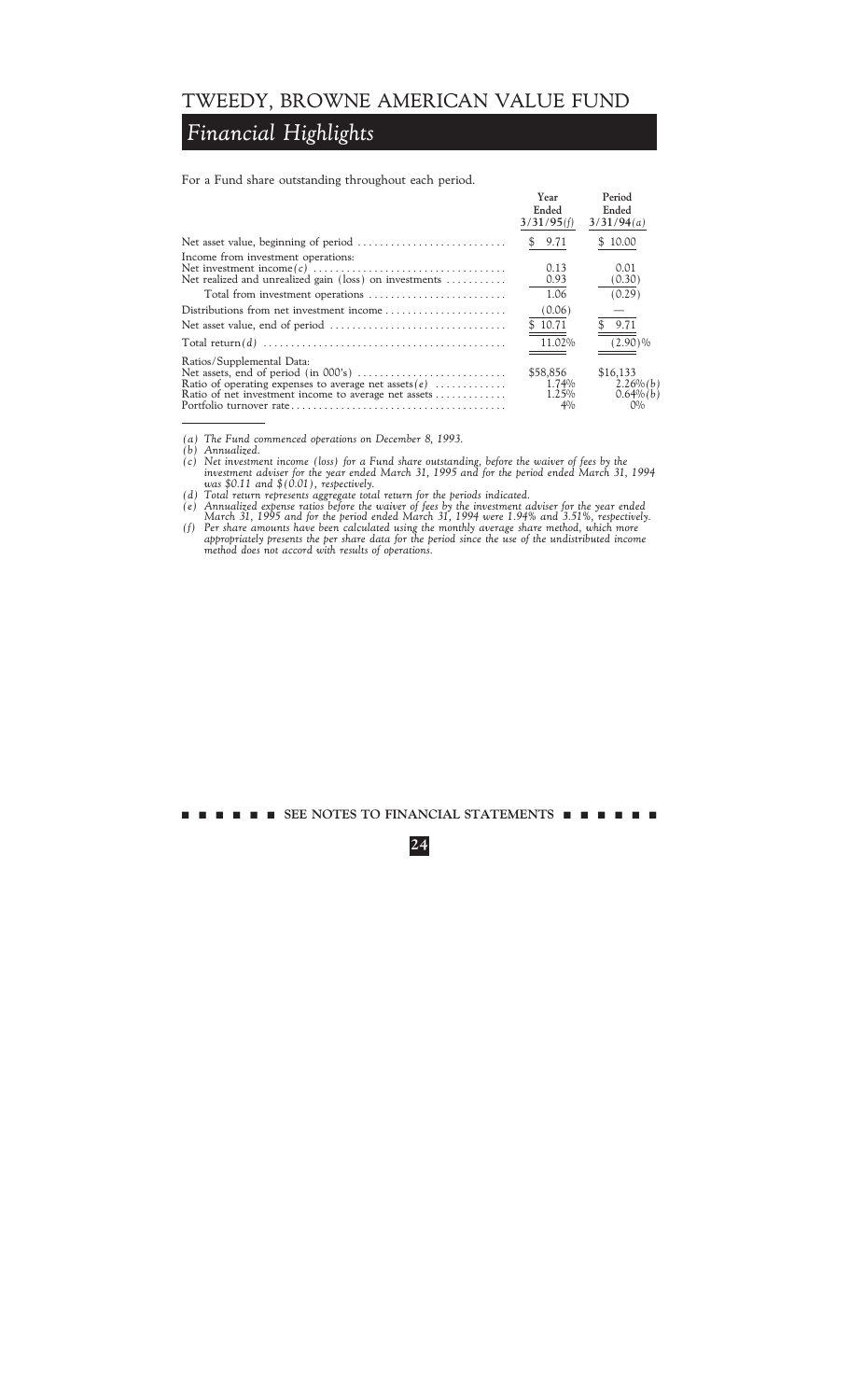## *Financial Highlights*

For a Fund share outstanding throughout each period.

|                                                                                                                                              | <b>Year</b><br>Ended<br>3/31/95(f) | Period<br>Ended<br>3/31/94(a)                 |
|----------------------------------------------------------------------------------------------------------------------------------------------|------------------------------------|-----------------------------------------------|
|                                                                                                                                              | 9.71                               | 10.00<br>S                                    |
| Income from investment operations:<br>Net realized and unrealized gain (loss) on investments                                                 | 0.13<br>0.93                       | 0.01<br>(0.30)                                |
|                                                                                                                                              | 1.06                               | (0.29)                                        |
| Distributions from net investment income                                                                                                     | (0.06)                             |                                               |
| Net asset value, end of period $\dots\dots\dots\dots\dots\dots\dots\dots\dots\dots\dots\dots$                                                | \$10.71                            | 9.71                                          |
| Total return(d) $\ldots \ldots \ldots \ldots \ldots \ldots \ldots \ldots \ldots \ldots \ldots \ldots \ldots$                                 | 11.02%                             | $(2.90)\%$                                    |
| Ratios/Supplemental Data:<br>Ratio of operating expenses to average net assets $(e)$<br>Ratio of net investment income to average net assets | \$58,856<br>1.74%<br>1.25%<br>4%   | \$16,133<br>$2.26\%$ (b)<br>0.64%(b)<br>$O\%$ |

*(a) The Fund commenced operations on December 8, 1993.*

*(c) Net investment income (loss) for a Fund share outstanding, before the waiver of fees by the investment adviser for the year ended March 31, 1995 and for the period ended March 31, 1994 was \$0.11 and \$(0.01), respectively.*

- *(d) Total return represents aggregate total return for the periods indicated.*
- *(e) Annualized expense ratios before the waiver of fees by the investment adviser for the year ended March 31, 1995 and for the period ended March 31, 1994 were 1.94% and 3.51%, respectively.*
- *(f) Per share amounts have been calculated using the monthly average share method, which more appropriately presents the per share data for the period since the use of the undistributed income method does not accord with results of operations.*

*<sup>(</sup>b) Annualized.*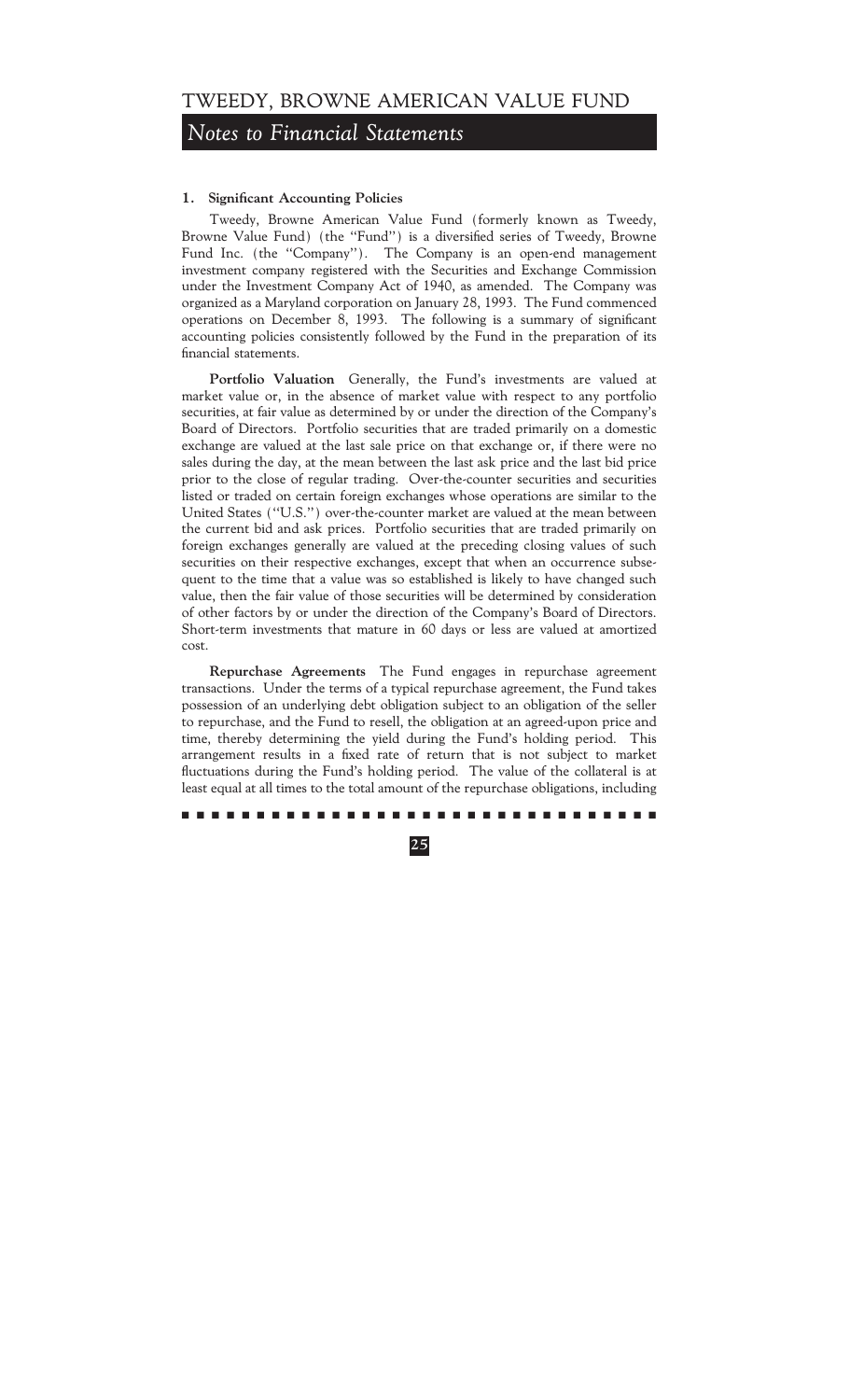## *Notes to Financial Statements*

### **1. Significant Accounting Policies**

Tweedy, Browne American Value Fund (formerly known as Tweedy, Browne Value Fund) (the "Fund") is a diversified series of Tweedy, Browne Fund Inc. (the "Company"). The Company is an open-end management investment company registered with the Securities and Exchange Commission under the Investment Company Act of 1940, as amended. The Company was organized as a Maryland corporation on January 28, 1993. The Fund commenced operations on December 8, 1993. The following is a summary of significant accounting policies consistently followed by the Fund in the preparation of its financial statements.

**Portfolio Valuation** Generally, the Fund's investments are valued at market value or, in the absence of market value with respect to any portfolio securities, at fair value as determined by or under the direction of the Company's Board of Directors. Portfolio securities that are traded primarily on a domestic exchange are valued at the last sale price on that exchange or, if there were no sales during the day, at the mean between the last ask price and the last bid price prior to the close of regular trading. Over-the-counter securities and securities listed or traded on certain foreign exchanges whose operations are similar to the United States (""U.S.'') over-the-counter market are valued at the mean between the current bid and ask prices. Portfolio securities that are traded primarily on foreign exchanges generally are valued at the preceding closing values of such securities on their respective exchanges, except that when an occurrence subsequent to the time that a value was so established is likely to have changed such value, then the fair value of those securities will be determined by consideration of other factors by or under the direction of the Company's Board of Directors. Short-term investments that mature in 60 days or less are valued at amortized cost.

**Repurchase Agreements** The Fund engages in repurchase agreement transactions. Under the terms of a typical repurchase agreement, the Fund takes possession of an underlying debt obligation subject to an obligation of the seller to repurchase, and the Fund to resell, the obligation at an agreed-upon price and time, thereby determining the yield during the Fund's holding period. This arrangement results in a fixed rate of return that is not subject to market fluctuations during the Fund's holding period. The value of the collateral is at least equal at all times to the total amount of the repurchase obligations, including

#### ..........................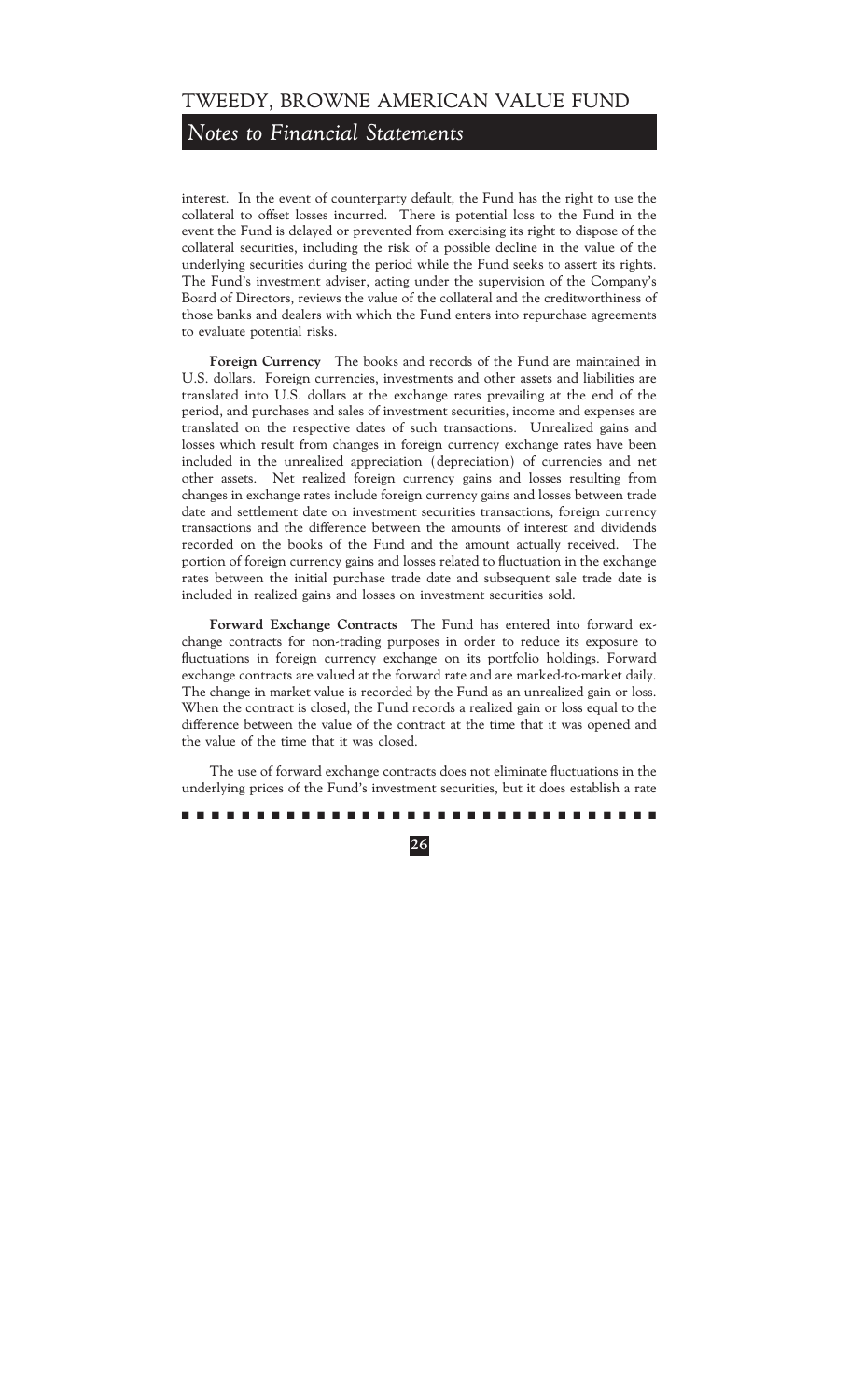## *Notes to Financial Statements*

interest. In the event of counterparty default, the Fund has the right to use the collateral to offset losses incurred. There is potential loss to the Fund in the event the Fund is delayed or prevented from exercising its right to dispose of the collateral securities, including the risk of a possible decline in the value of the underlying securities during the period while the Fund seeks to assert its rights. The Fund's investment adviser, acting under the supervision of the Company's Board of Directors, reviews the value of the collateral and the creditworthiness of those banks and dealers with which the Fund enters into repurchase agreements to evaluate potential risks.

**Foreign Currency** The books and records of the Fund are maintained in U.S. dollars. Foreign currencies, investments and other assets and liabilities are translated into U.S. dollars at the exchange rates prevailing at the end of the period, and purchases and sales of investment securities, income and expenses are translated on the respective dates of such transactions. Unrealized gains and losses which result from changes in foreign currency exchange rates have been included in the unrealized appreciation (depreciation) of currencies and net other assets. Net realized foreign currency gains and losses resulting from changes in exchange rates include foreign currency gains and losses between trade date and settlement date on investment securities transactions, foreign currency transactions and the difference between the amounts of interest and dividends recorded on the books of the Fund and the amount actually received. The portion of foreign currency gains and losses related to fluctuation in the exchange rates between the initial purchase trade date and subsequent sale trade date is included in realized gains and losses on investment securities sold.

**Forward Exchange Contracts** The Fund has entered into forward exchange contracts for non-trading purposes in order to reduce its exposure to fluctuations in foreign currency exchange on its portfolio holdings. Forward exchange contracts are valued at the forward rate and are marked-to-market daily. The change in market value is recorded by the Fund as an unrealized gain or loss. When the contract is closed, the Fund records a realized gain or loss equal to the difference between the value of the contract at the time that it was opened and the value of the time that it was closed.

The use of forward exchange contracts does not eliminate fluctuations in the underlying prices of the Fund's investment securities, but it does establish a rate

#### ..........................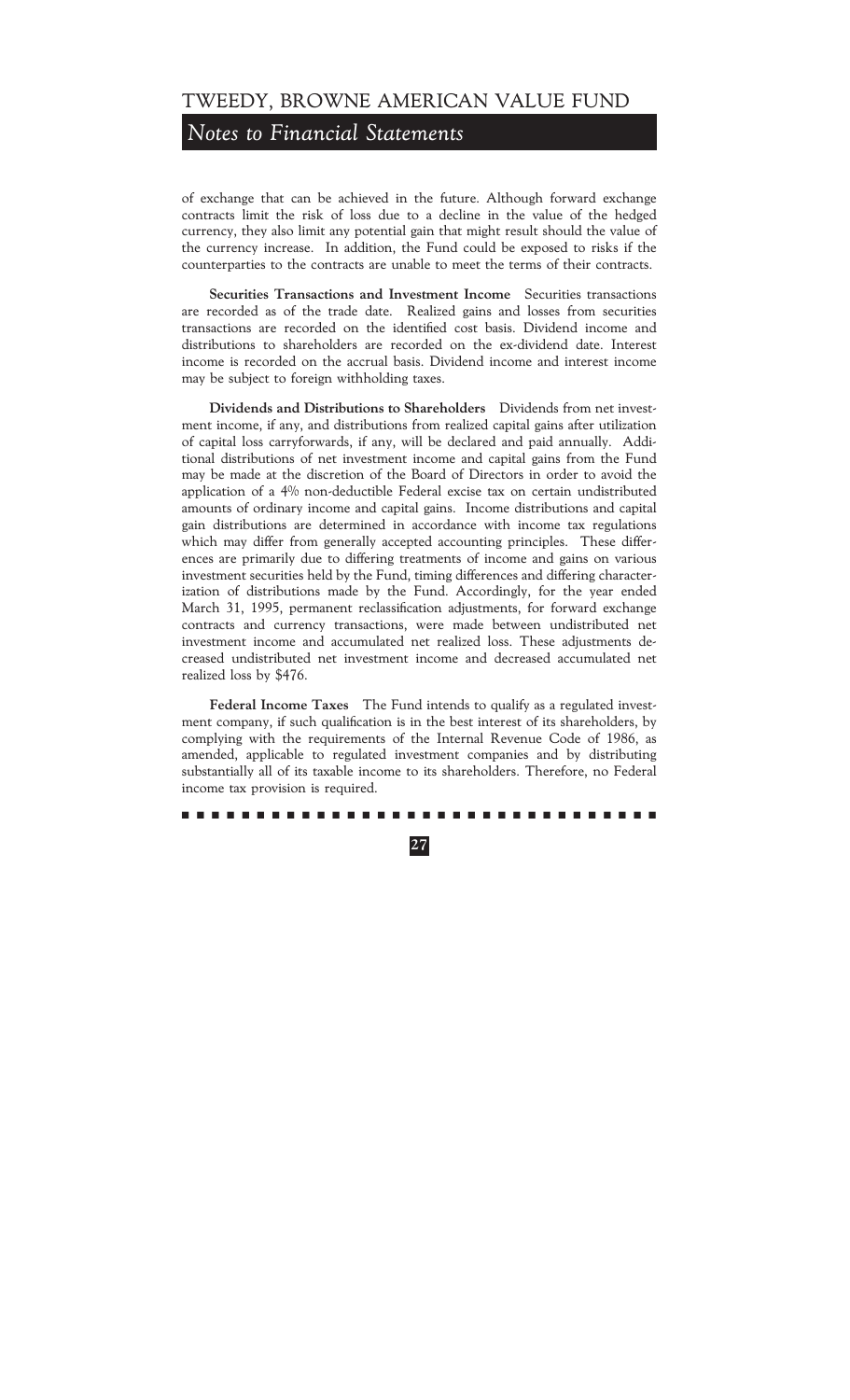## *Notes to Financial Statements*

of exchange that can be achieved in the future. Although forward exchange contracts limit the risk of loss due to a decline in the value of the hedged currency, they also limit any potential gain that might result should the value of the currency increase. In addition, the Fund could be exposed to risks if the counterparties to the contracts are unable to meet the terms of their contracts.

**Securities Transactions and Investment Income** Securities transactions are recorded as of the trade date. Realized gains and losses from securities transactions are recorded on the identified cost basis. Dividend income and distributions to shareholders are recorded on the ex-dividend date. Interest income is recorded on the accrual basis. Dividend income and interest income may be subject to foreign withholding taxes.

**Dividends and Distributions to Shareholders** Dividends from net investment income, if any, and distributions from realized capital gains after utilization of capital loss carryforwards, if any, will be declared and paid annually. Additional distributions of net investment income and capital gains from the Fund may be made at the discretion of the Board of Directors in order to avoid the application of a 4% non-deductible Federal excise tax on certain undistributed amounts of ordinary income and capital gains. Income distributions and capital gain distributions are determined in accordance with income tax regulations which may differ from generally accepted accounting principles. These differences are primarily due to differing treatments of income and gains on various investment securities held by the Fund, timing differences and differing characterization of distributions made by the Fund. Accordingly, for the year ended March 31, 1995, permanent reclassification adjustments, for forward exchange contracts and currency transactions, were made between undistributed net investment income and accumulated net realized loss. These adjustments decreased undistributed net investment income and decreased accumulated net realized loss by \$476.

**Federal Income Taxes** The Fund intends to qualify as a regulated investment company, if such qualification is in the best interest of its shareholders, by complying with the requirements of the Internal Revenue Code of 1986, as amended, applicable to regulated investment companies and by distributing substantially all of its taxable income to its shareholders. Therefore, no Federal income tax provision is required.

#### ..........................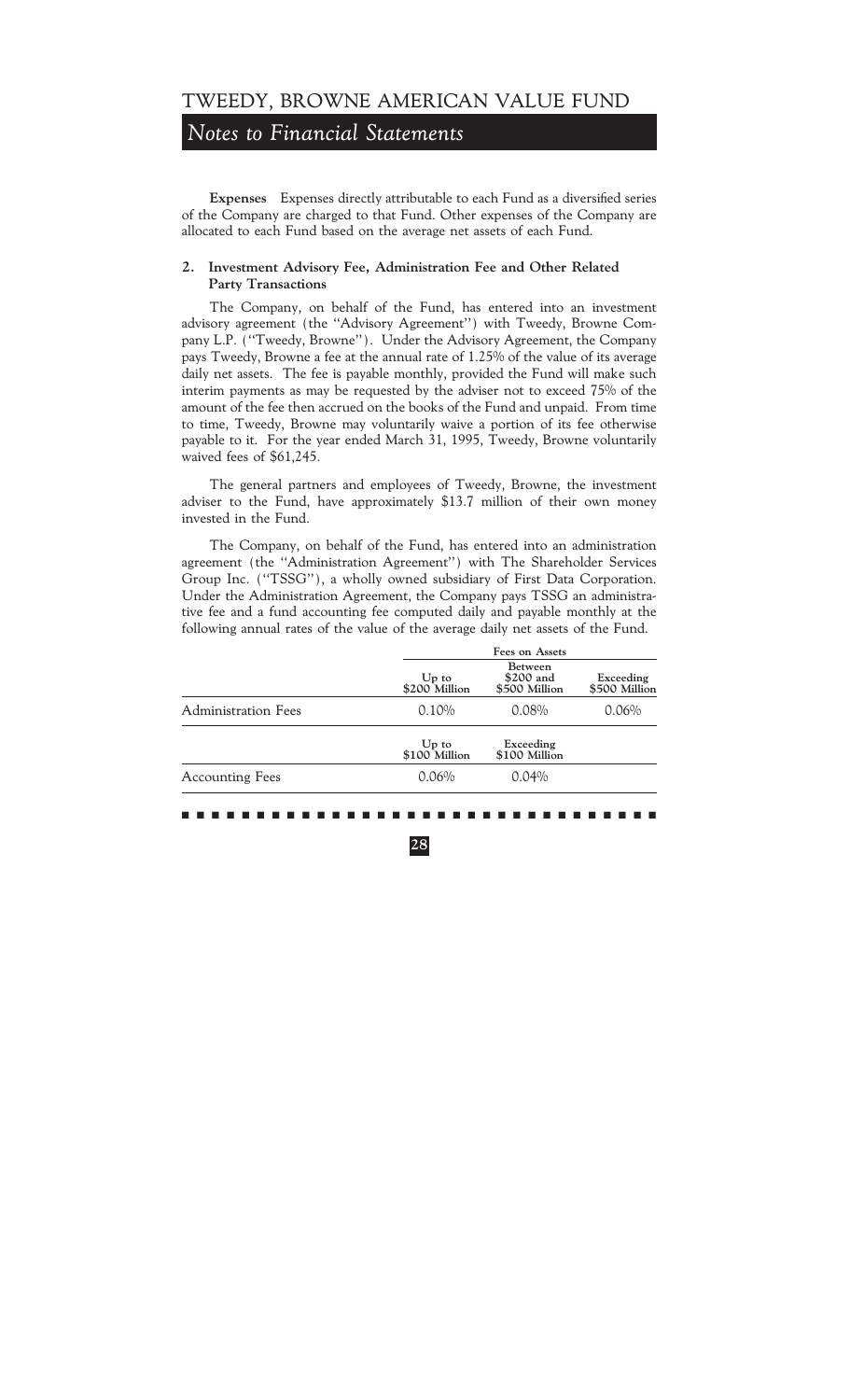## *Notes to Financial Statements*

Expenses Expenses directly attributable to each Fund as a diversified series of the Company are charged to that Fund. Other expenses of the Company are allocated to each Fund based on the average net assets of each Fund.

### **2. Investment Advisory Fee, Administration Fee and Other Related Party Transactions**

The Company, on behalf of the Fund, has entered into an investment advisory agreement (the "Advisory Agreement") with Tweedy, Browne Company L.P. (""Tweedy, Browne''). Under the Advisory Agreement, the Company pays Tweedy, Browne a fee at the annual rate of 1.25% of the value of its average daily net assets. The fee is payable monthly, provided the Fund will make such interim payments as may be requested by the adviser not to exceed 75% of the amount of the fee then accrued on the books of the Fund and unpaid. From time to time, Tweedy, Browne may voluntarily waive a portion of its fee otherwise payable to it. For the year ended March 31, 1995, Tweedy, Browne voluntarily waived fees of \$61,245.

The general partners and employees of Tweedy, Browne, the investment adviser to the Fund, have approximately \$13.7 million of their own money invested in the Fund.

The Company, on behalf of the Fund, has entered into an administration agreement (the "Administration Agreement") with The Shareholder Services Group Inc. (""TSSG''), a wholly owned subsidiary of First Data Corporation. Under the Administration Agreement, the Company pays TSSG an administrative fee and a fund accounting fee computed daily and payable monthly at the following annual rates of the value of the average daily net assets of the Fund.

|                            | Fees on Assets           |                                              |                            |
|----------------------------|--------------------------|----------------------------------------------|----------------------------|
|                            | $Up$ to<br>\$200 Million | <b>Between</b><br>\$200 and<br>\$500 Million | Exceeding<br>\$500 Million |
| <b>Administration Fees</b> | 0.10%                    | 0.08%                                        | 0.06%                      |
|                            | $Up$ to<br>\$100 Million | Exceeding<br>\$100 Million                   |                            |
| <b>Accounting Fees</b>     | 0.06%                    | 0.04%                                        |                            |
|                            |                          |                                              |                            |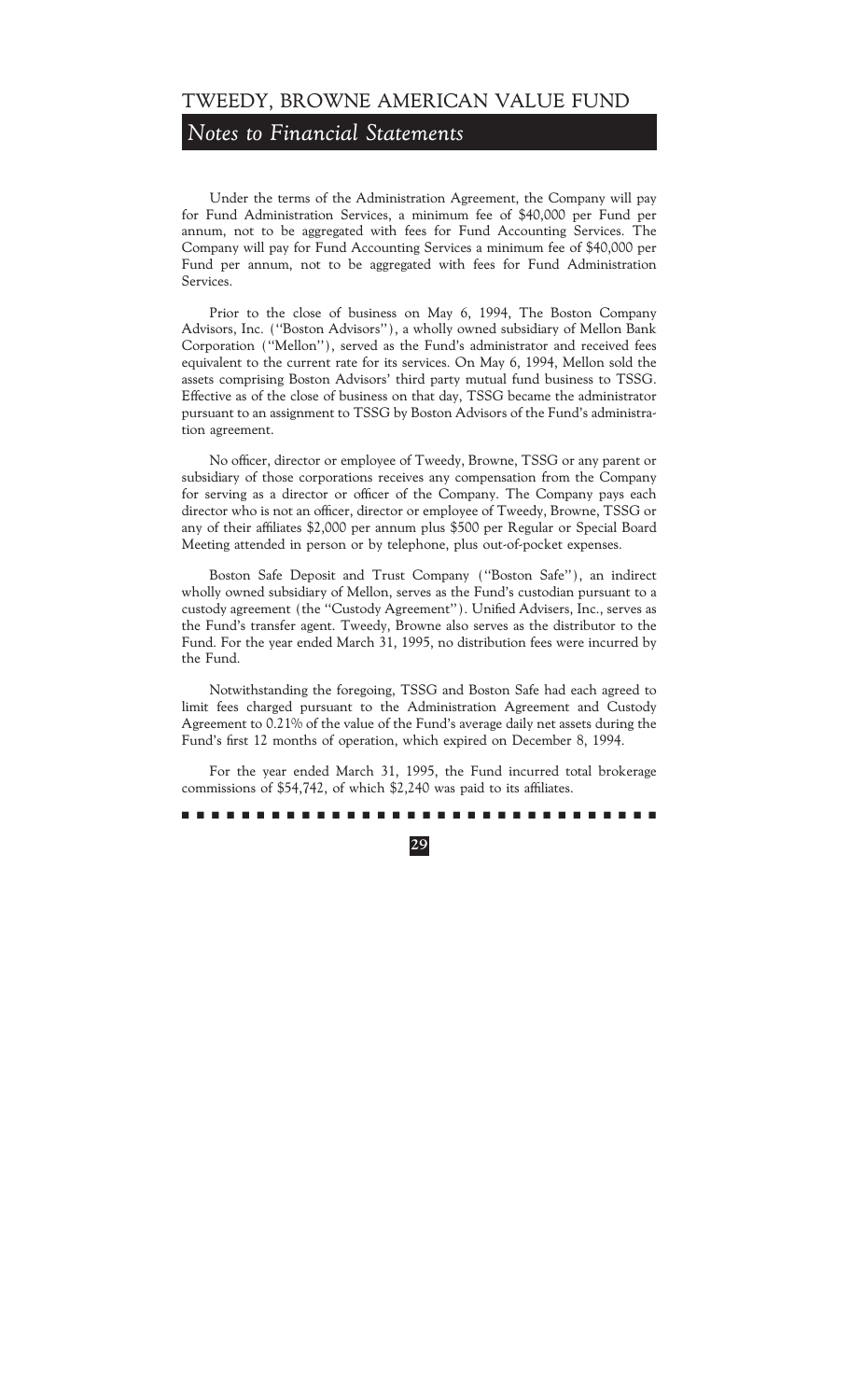## *Notes to Financial Statements*

Under the terms of the Administration Agreement, the Company will pay for Fund Administration Services, a minimum fee of \$40,000 per Fund per annum, not to be aggregated with fees for Fund Accounting Services. The Company will pay for Fund Accounting Services a minimum fee of \$40,000 per Fund per annum, not to be aggregated with fees for Fund Administration Services.

Prior to the close of business on May 6, 1994, The Boston Company Advisors, Inc. (""Boston Advisors''), a wholly owned subsidiary of Mellon Bank Corporation (""Mellon''), served as the Fund's administrator and received fees equivalent to the current rate for its services. On May 6, 1994, Mellon sold the assets comprising Boston Advisors' third party mutual fund business to TSSG. Effective as of the close of business on that day, TSSG became the administrator pursuant to an assignment to TSSG by Boston Advisors of the Fund's administration agreement.

No officer, director or employee of Tweedy, Browne, TSSG or any parent or subsidiary of those corporations receives any compensation from the Company for serving as a director or officer of the Company. The Company pays each director who is not an officer, director or employee of Tweedy, Browne, TSSG or any of their affiliates \$2,000 per annum plus \$500 per Regular or Special Board Meeting attended in person or by telephone, plus out-of-pocket expenses.

Boston Safe Deposit and Trust Company (""Boston Safe''), an indirect wholly owned subsidiary of Mellon, serves as the Fund's custodian pursuant to a custody agreement (the "Custody Agreement"). Unified Advisers, Inc., serves as the Fund's transfer agent. Tweedy, Browne also serves as the distributor to the Fund. For the year ended March 31, 1995, no distribution fees were incurred by the Fund.

Notwithstanding the foregoing, TSSG and Boston Safe had each agreed to limit fees charged pursuant to the Administration Agreement and Custody Agreement to 0.21% of the value of the Fund's average daily net assets during the Fund's first 12 months of operation, which expired on December 8, 1994.

For the year ended March 31, 1995, the Fund incurred total brokerage commissions of  $$54,742$ , of which  $$2,240$  was paid to its affiliates.

#### ..........................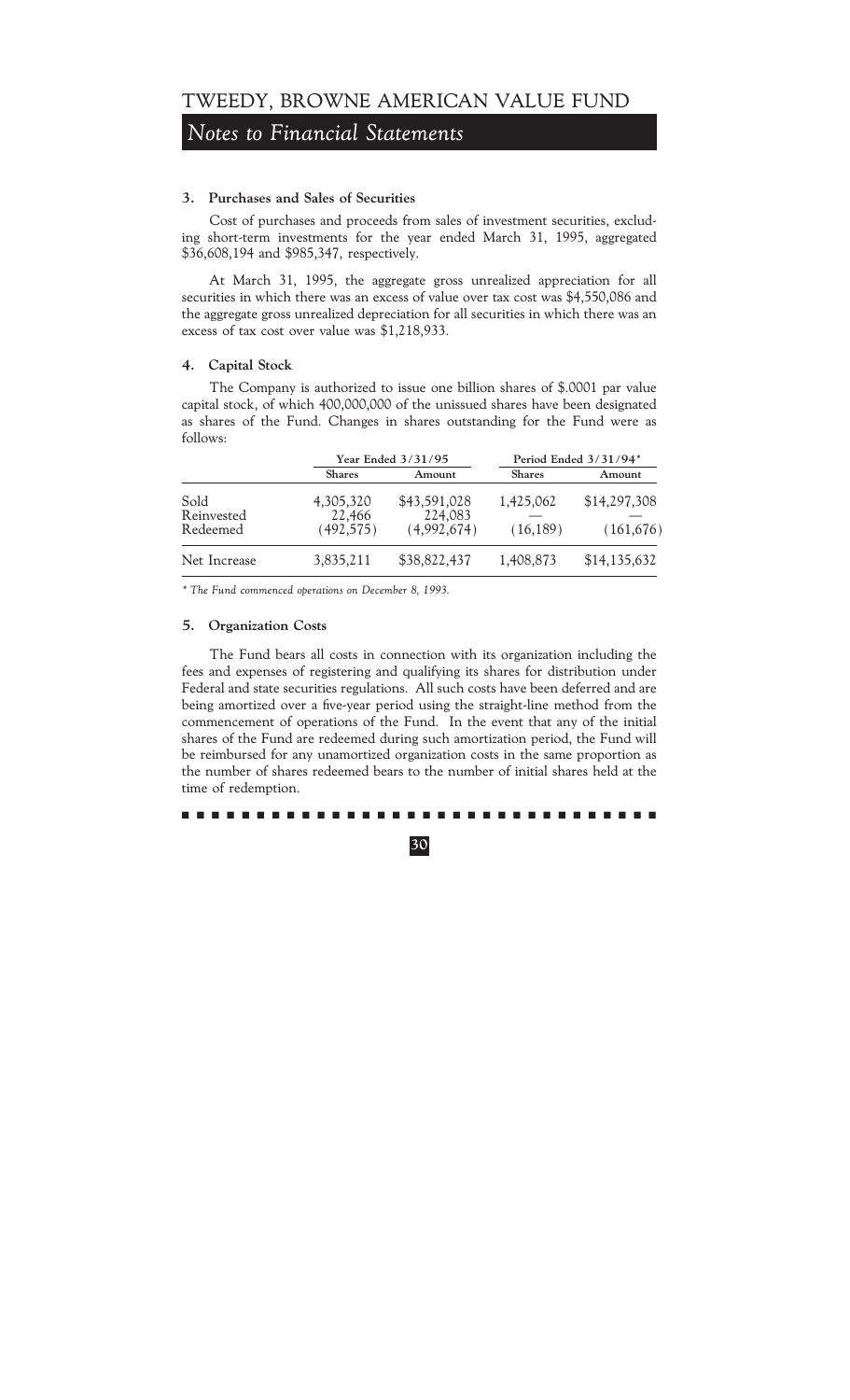## *Notes to Financial Statements*

### **3. Purchases and Sales of Securities**

Cost of purchases and proceeds from sales of investment securities, excluding short-term investments for the year ended March 31, 1995, aggregated \$36,608,194 and \$985,347, respectively.

At March 31, 1995, the aggregate gross unrealized appreciation for all securities in which there was an excess of value over tax cost was \$4,550,086 and the aggregate gross unrealized depreciation for all securities in which there was an excess of tax cost over value was \$1,218,933.

### **4. Capital Stock**

The Company is authorized to issue one billion shares of \$.0001 par value capital stock, of which 400,000,000 of the unissued shares have been designated as shares of the Fund. Changes in shares outstanding for the Fund were as follows:

|                                | Year Ended 3/31/95               |                                        | Period Ended 3/31/94*  |                            |
|--------------------------------|----------------------------------|----------------------------------------|------------------------|----------------------------|
|                                | <b>Shares</b>                    | Amount                                 | <b>Shares</b>          | Amount                     |
| Sold<br>Reinvested<br>Redeemed | 4,305,320<br>22,466<br>(492,575) | \$43,591,028<br>224,083<br>(4,992,674) | 1,425,062<br>(16, 189) | \$14,297,308<br>(161, 676) |
| Net Increase                   | 3,835,211                        | \$38,822,437                           | 1,408,873              | \$14,135,632               |

*\* The Fund commenced operations on December 8, 1993.*

### **5. Organization Costs**

The Fund bears all costs in connection with its organization including the fees and expenses of registering and qualifying its shares for distribution under Federal and state securities regulations. All such costs have been deferred and are being amortized over a five-year period using the straight-line method from the commencement of operations of the Fund. In the event that any of the initial shares of the Fund are redeemed during such amortization period, the Fund will be reimbursed for any unamortized organization costs in the same proportion as the number of shares redeemed bears to the number of initial shares held at the time of redemption.

### ..........................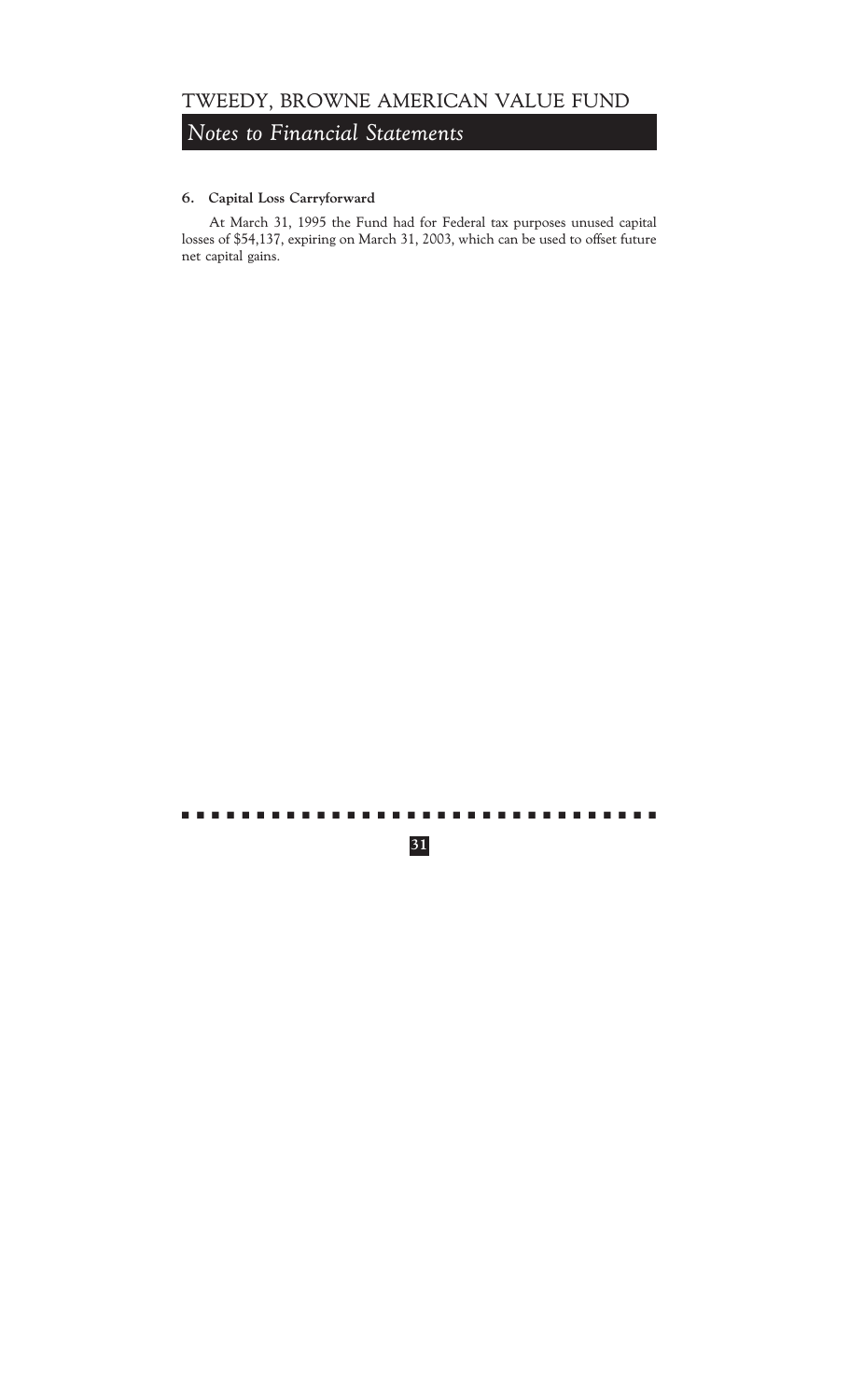## *Notes to Financial Statements*

### **6. Capital Loss Carryforward**

At March 31, 1995 the Fund had for Federal tax purposes unused capital losses of \$54,137, expiring on March 31, 2003, which can be used to offset future net capital gains.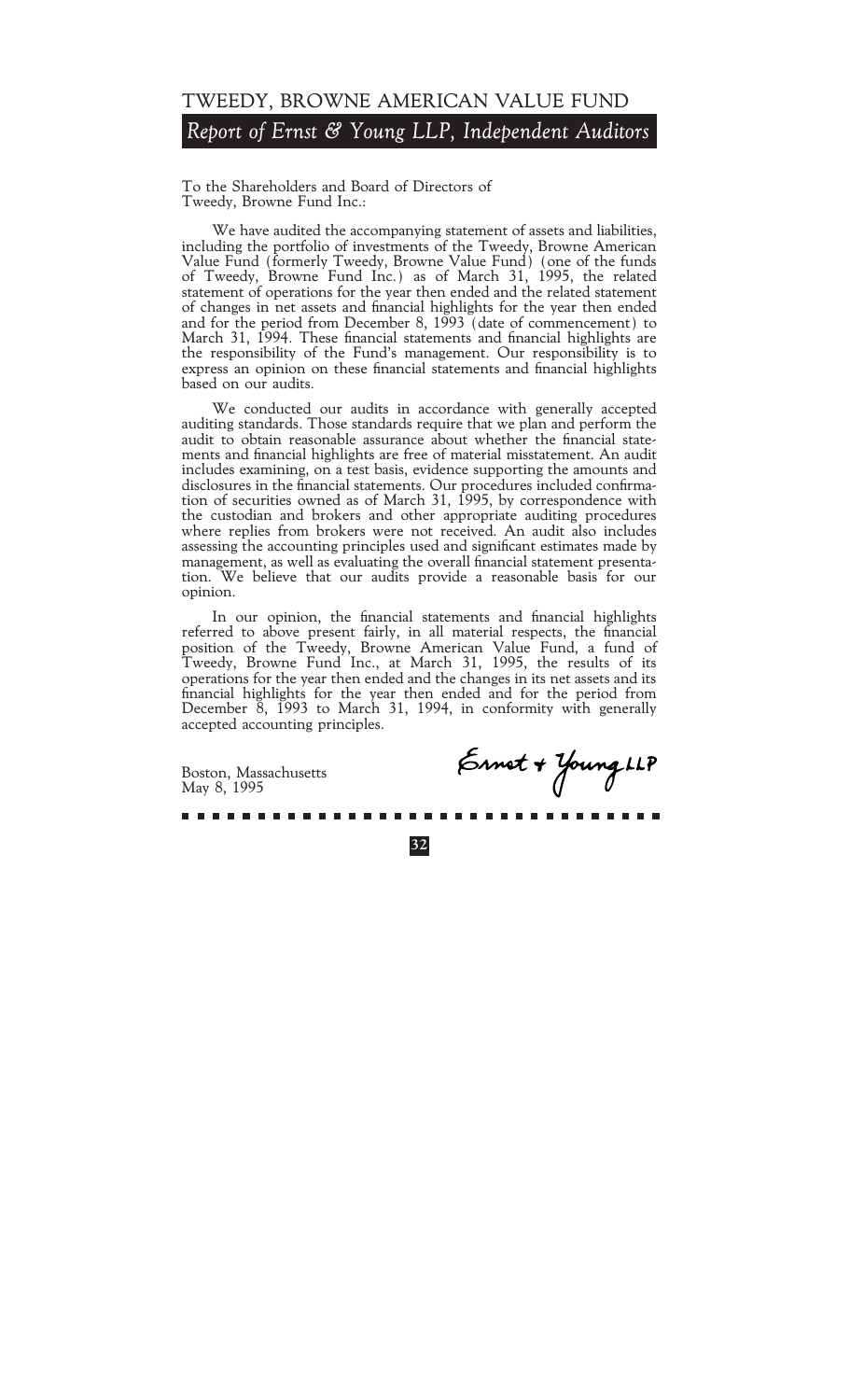## TWEEDY, BROWNE AMERICAN VALUE FUND *Report of Ernst & Young LLP, Independent Auditors*

To the Shareholders and Board of Directors of Tweedy, Browne Fund Inc.:

We have audited the accompanying statement of assets and liabilities, including the portfolio of investments of the Tweedy, Browne American Value Fund (formerly Tweedy, Browne Value Fund) (one of the funds of Tweedy, Browne Fund Inc.) as of March 31, 1995, the related statement of operations for the year then ended and the related statement of changes in net assets and financial highlights for the year then ended and for the period from December 8, 1993 (date of commencement) to March 31, 1994. These financial statements and financial highlights are the responsibility of the Fund's management. Our responsibility is to express an opinion on these financial statements and financial highlights based on our audits.

We conducted our audits in accordance with generally accepted auditing standards. Those standards require that we plan and perform the audit to obtain reasonable assurance about whether the financial statements and financial highlights are free of material misstatement. An audit includes examining, on a test basis, evidence supporting the amounts and disclosures in the financial statements. Our procedures included confirmation of securities owned as of March 31, 1995, by correspondence with the custodian and brokers and other appropriate auditing procedures where replies from brokers were not received. An audit also includes assessing the accounting principles used and significant estimates made by management, as well as evaluating the overall financial statement presentation. We believe that our audits provide a reasonable basis for our opinion.

In our opinion, the financial statements and financial highlights referred to above present fairly, in all material respects, the financial position of the Tweedy, Browne American Value Fund, a fund of Tweedy, Browne Fund Inc., at March 31, 1995, the results of its operations for the year then ended and the changes in its net assets and its financial highlights for the year then ended and for the period from December 8, 1993 to March 31, 1994, in conformity with generally accepted accounting principles.

**32**

Boston, Massachusetts May 8, 1995

Ernst + Young LLP